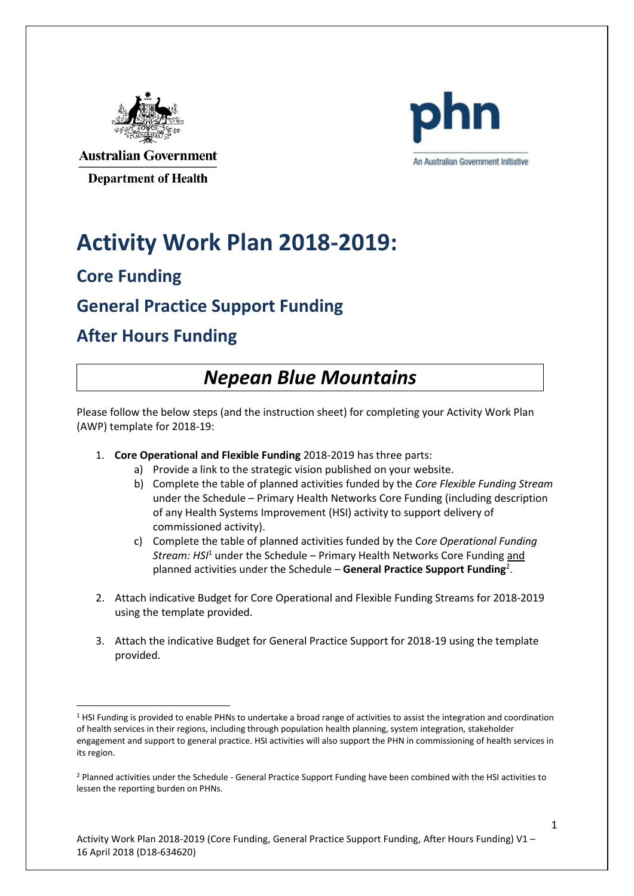



**Australian Government Department of Health** 

# **Activity Work Plan 2018-2019:**

#### **Core Funding**

**.** 

#### **General Practice Support Funding**

#### **After Hours Funding**

#### *Nepean Blue Mountains*

Please follow the below steps (and the instruction sheet) for completing your Activity Work Plan (AWP) template for 2018-19:

- 1. **Core Operational and Flexible Funding** 2018-2019 has three parts:
	- a) Provide a link to the strategic vision published on your website.
	- b) Complete the table of planned activities funded by the *Core Flexible Funding Stream*  under the Schedule – Primary Health Networks Core Funding (including description of any Health Systems Improvement (HSI) activity to support delivery of commissioned activity).
	- c) Complete the table of planned activities funded by the C*ore Operational Funding Stream: HSI*<sup>1</sup> under the Schedule – Primary Health Networks Core Funding and planned activities under the Schedule – **General Practice Support Funding**<sup>2</sup> .
- 2. Attach indicative Budget for Core Operational and Flexible Funding Streams for 2018-2019 using the template provided.
- 3. Attach the indicative Budget for General Practice Support for 2018-19 using the template provided.

<sup>1</sup> HSI Funding is provided to enable PHNs to undertake a broad range of activities to assist the integration and coordination of health services in their regions, including through population health planning, system integration, stakeholder engagement and support to general practice. HSI activities will also support the PHN in commissioning of health services in its region.

<sup>2</sup> Planned activities under the Schedule - General Practice Support Funding have been combined with the HSI activities to lessen the reporting burden on PHNs.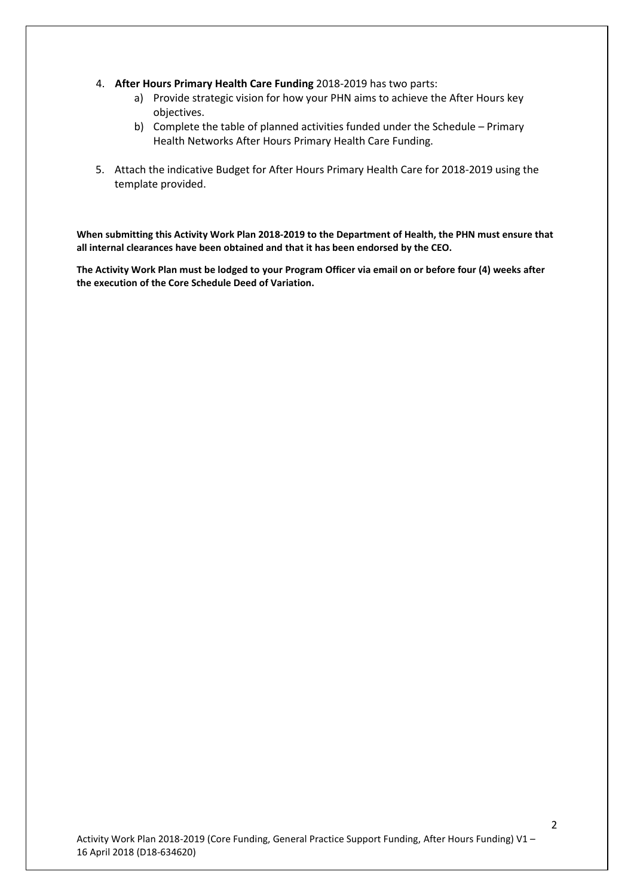- 4. **After Hours Primary Health Care Funding** 2018-2019 has two parts:
	- a) Provide strategic vision for how your PHN aims to achieve the After Hours key objectives.
	- b) Complete the table of planned activities funded under the Schedule Primary Health Networks After Hours Primary Health Care Funding.
- 5. Attach the indicative Budget for After Hours Primary Health Care for 2018-2019 using the template provided.

**When submitting this Activity Work Plan 2018-2019 to the Department of Health, the PHN must ensure that all internal clearances have been obtained and that it has been endorsed by the CEO.**

**The Activity Work Plan must be lodged to your Program Officer via email on or before four (4) weeks after the execution of the Core Schedule Deed of Variation.**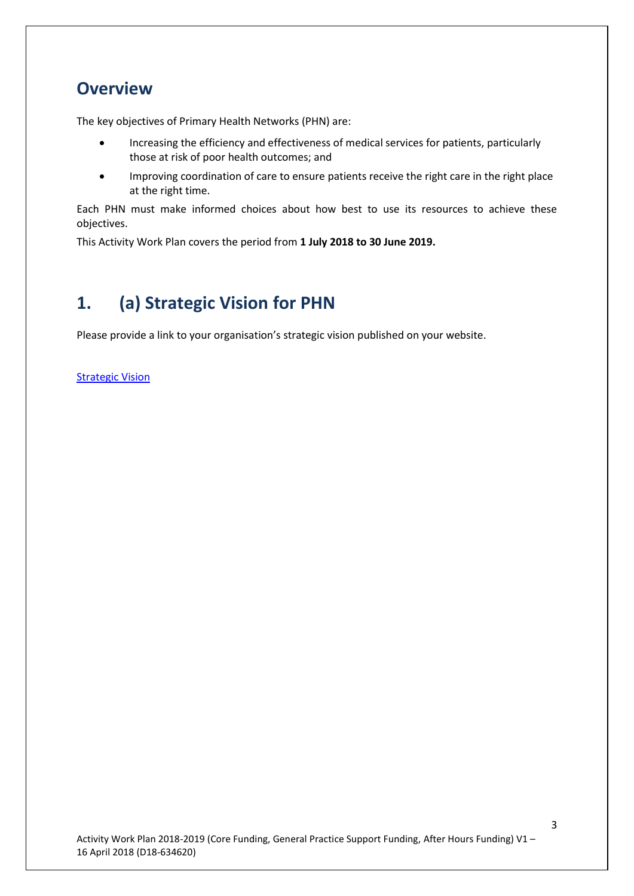#### **Overview**

The key objectives of Primary Health Networks (PHN) are:

- Increasing the efficiency and effectiveness of medical services for patients, particularly those at risk of poor health outcomes; and
- Improving coordination of care to ensure patients receive the right care in the right place at the right time.

Each PHN must make informed choices about how best to use its resources to achieve these objectives.

This Activity Work Plan covers the period from **1 July 2018 to 30 June 2019.**

### **1. (a) Strategic Vision for PHN**

Please provide a link to your organisation's strategic vision published on your website.

**[Strategic Vision](https://www.nbmphn.com.au/About/Who-We-Are.aspx)**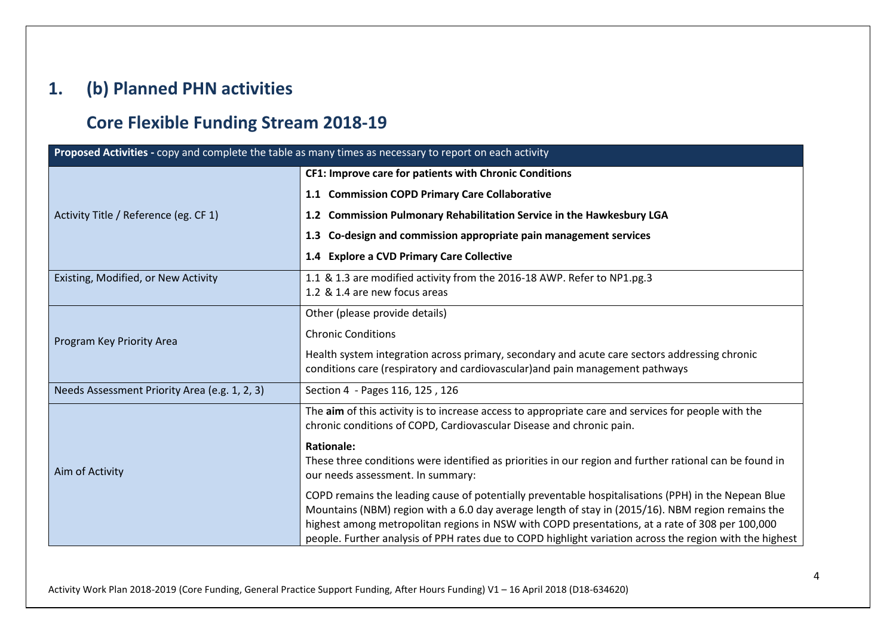#### **1. (b) Planned PHN activities**

#### **Core Flexible Funding Stream 2018-19**

| Proposed Activities - copy and complete the table as many times as necessary to report on each activity |                                                                                                                                                                                                             |
|---------------------------------------------------------------------------------------------------------|-------------------------------------------------------------------------------------------------------------------------------------------------------------------------------------------------------------|
|                                                                                                         | CF1: Improve care for patients with Chronic Conditions                                                                                                                                                      |
|                                                                                                         | 1.1 Commission COPD Primary Care Collaborative                                                                                                                                                              |
| Activity Title / Reference (eg. CF 1)                                                                   | 1.2 Commission Pulmonary Rehabilitation Service in the Hawkesbury LGA                                                                                                                                       |
|                                                                                                         | 1.3 Co-design and commission appropriate pain management services                                                                                                                                           |
|                                                                                                         | 1.4 Explore a CVD Primary Care Collective                                                                                                                                                                   |
| Existing, Modified, or New Activity                                                                     | 1.1 & 1.3 are modified activity from the 2016-18 AWP. Refer to NP1.pg.3<br>1.2 & 1.4 are new focus areas                                                                                                    |
|                                                                                                         |                                                                                                                                                                                                             |
|                                                                                                         | Other (please provide details)                                                                                                                                                                              |
| Program Key Priority Area                                                                               | <b>Chronic Conditions</b>                                                                                                                                                                                   |
|                                                                                                         | Health system integration across primary, secondary and acute care sectors addressing chronic<br>conditions care (respiratory and cardiovascular) and pain management pathways                              |
| Needs Assessment Priority Area (e.g. 1, 2, 3)                                                           | Section 4 - Pages 116, 125, 126                                                                                                                                                                             |
|                                                                                                         | The aim of this activity is to increase access to appropriate care and services for people with the<br>chronic conditions of COPD, Cardiovascular Disease and chronic pain.                                 |
| Aim of Activity                                                                                         | <b>Rationale:</b>                                                                                                                                                                                           |
|                                                                                                         | These three conditions were identified as priorities in our region and further rational can be found in                                                                                                     |
|                                                                                                         | our needs assessment. In summary:                                                                                                                                                                           |
|                                                                                                         | COPD remains the leading cause of potentially preventable hospitalisations (PPH) in the Nepean Blue                                                                                                         |
|                                                                                                         | Mountains (NBM) region with a 6.0 day average length of stay in (2015/16). NBM region remains the                                                                                                           |
|                                                                                                         | highest among metropolitan regions in NSW with COPD presentations, at a rate of 308 per 100,000<br>people. Further analysis of PPH rates due to COPD highlight variation across the region with the highest |
|                                                                                                         |                                                                                                                                                                                                             |

Activity Work Plan 2018-2019 (Core Funding, General Practice Support Funding, After Hours Funding) V1 – 16 April 2018 (D18-634620)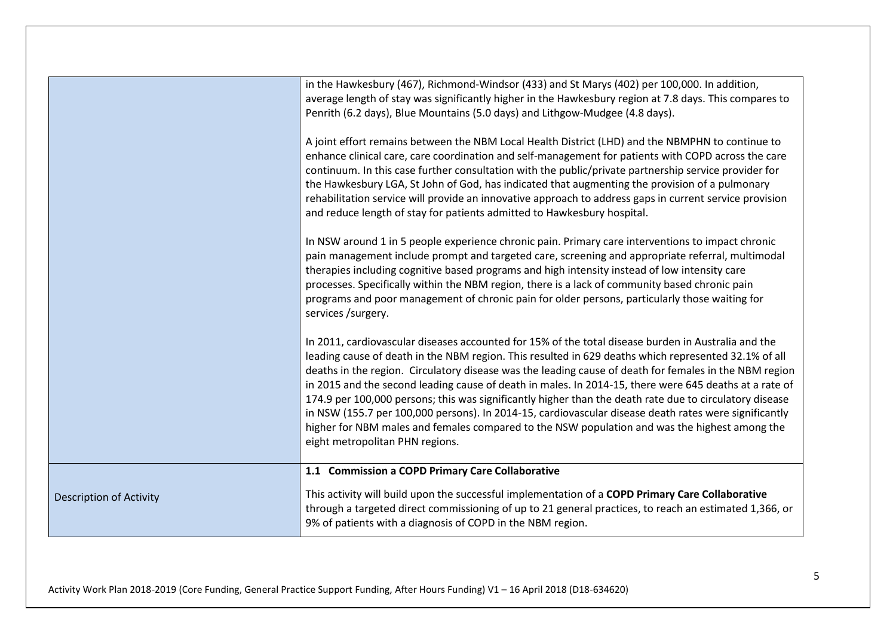|                                | in the Hawkesbury (467), Richmond-Windsor (433) and St Marys (402) per 100,000. In addition,<br>average length of stay was significantly higher in the Hawkesbury region at 7.8 days. This compares to<br>Penrith (6.2 days), Blue Mountains (5.0 days) and Lithgow-Mudgee (4.8 days).<br>A joint effort remains between the NBM Local Health District (LHD) and the NBMPHN to continue to<br>enhance clinical care, care coordination and self-management for patients with COPD across the care<br>continuum. In this case further consultation with the public/private partnership service provider for<br>the Hawkesbury LGA, St John of God, has indicated that augmenting the provision of a pulmonary<br>rehabilitation service will provide an innovative approach to address gaps in current service provision<br>and reduce length of stay for patients admitted to Hawkesbury hospital.<br>In NSW around 1 in 5 people experience chronic pain. Primary care interventions to impact chronic<br>pain management include prompt and targeted care, screening and appropriate referral, multimodal<br>therapies including cognitive based programs and high intensity instead of low intensity care<br>processes. Specifically within the NBM region, there is a lack of community based chronic pain<br>programs and poor management of chronic pain for older persons, particularly those waiting for<br>services /surgery.<br>In 2011, cardiovascular diseases accounted for 15% of the total disease burden in Australia and the<br>leading cause of death in the NBM region. This resulted in 629 deaths which represented 32.1% of all<br>deaths in the region. Circulatory disease was the leading cause of death for females in the NBM region |
|--------------------------------|-----------------------------------------------------------------------------------------------------------------------------------------------------------------------------------------------------------------------------------------------------------------------------------------------------------------------------------------------------------------------------------------------------------------------------------------------------------------------------------------------------------------------------------------------------------------------------------------------------------------------------------------------------------------------------------------------------------------------------------------------------------------------------------------------------------------------------------------------------------------------------------------------------------------------------------------------------------------------------------------------------------------------------------------------------------------------------------------------------------------------------------------------------------------------------------------------------------------------------------------------------------------------------------------------------------------------------------------------------------------------------------------------------------------------------------------------------------------------------------------------------------------------------------------------------------------------------------------------------------------------------------------------------------------------------------------------------------------------------------------------------------------|
|                                | in 2015 and the second leading cause of death in males. In 2014-15, there were 645 deaths at a rate of<br>174.9 per 100,000 persons; this was significantly higher than the death rate due to circulatory disease<br>in NSW (155.7 per 100,000 persons). In 2014-15, cardiovascular disease death rates were significantly<br>higher for NBM males and females compared to the NSW population and was the highest among the<br>eight metropolitan PHN regions.                                                                                                                                                                                                                                                                                                                                                                                                                                                                                                                                                                                                                                                                                                                                                                                                                                                                                                                                                                                                                                                                                                                                                                                                                                                                                                  |
|                                | 1.1 Commission a COPD Primary Care Collaborative                                                                                                                                                                                                                                                                                                                                                                                                                                                                                                                                                                                                                                                                                                                                                                                                                                                                                                                                                                                                                                                                                                                                                                                                                                                                                                                                                                                                                                                                                                                                                                                                                                                                                                                |
| <b>Description of Activity</b> | This activity will build upon the successful implementation of a COPD Primary Care Collaborative<br>through a targeted direct commissioning of up to 21 general practices, to reach an estimated 1,366, or<br>9% of patients with a diagnosis of COPD in the NBM region.                                                                                                                                                                                                                                                                                                                                                                                                                                                                                                                                                                                                                                                                                                                                                                                                                                                                                                                                                                                                                                                                                                                                                                                                                                                                                                                                                                                                                                                                                        |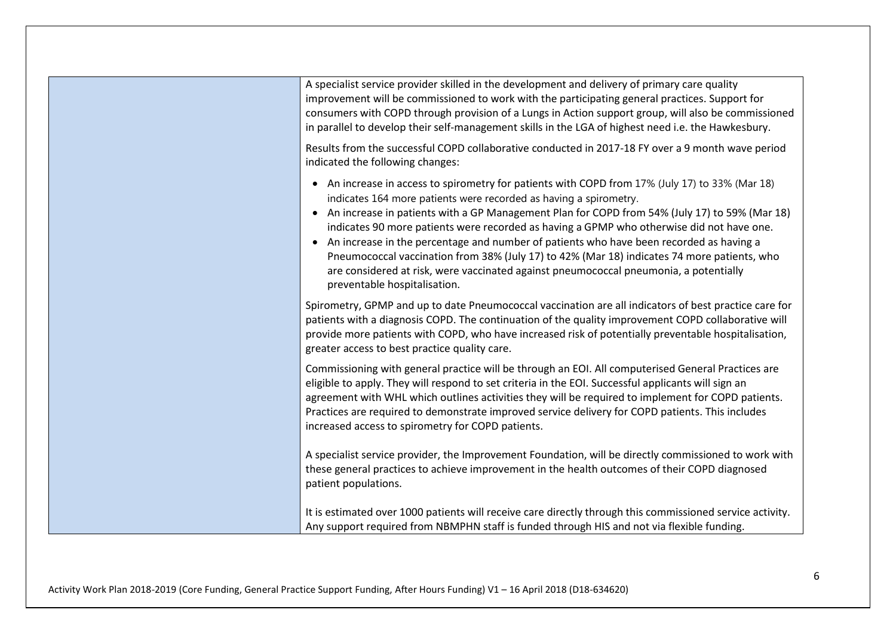| A specialist service provider skilled in the development and delivery of primary care quality                                                                                                                                                                                                                                                                                                                                                                                                                                                                                                                                                                                                        |
|------------------------------------------------------------------------------------------------------------------------------------------------------------------------------------------------------------------------------------------------------------------------------------------------------------------------------------------------------------------------------------------------------------------------------------------------------------------------------------------------------------------------------------------------------------------------------------------------------------------------------------------------------------------------------------------------------|
| improvement will be commissioned to work with the participating general practices. Support for<br>consumers with COPD through provision of a Lungs in Action support group, will also be commissioned<br>in parallel to develop their self-management skills in the LGA of highest need i.e. the Hawkesbury.                                                                                                                                                                                                                                                                                                                                                                                         |
| Results from the successful COPD collaborative conducted in 2017-18 FY over a 9 month wave period<br>indicated the following changes:                                                                                                                                                                                                                                                                                                                                                                                                                                                                                                                                                                |
| • An increase in access to spirometry for patients with COPD from 17% (July 17) to 33% (Mar 18)<br>indicates 164 more patients were recorded as having a spirometry.<br>• An increase in patients with a GP Management Plan for COPD from 54% (July 17) to 59% (Mar 18)<br>indicates 90 more patients were recorded as having a GPMP who otherwise did not have one.<br>An increase in the percentage and number of patients who have been recorded as having a<br>$\bullet$<br>Pneumococcal vaccination from 38% (July 17) to 42% (Mar 18) indicates 74 more patients, who<br>are considered at risk, were vaccinated against pneumococcal pneumonia, a potentially<br>preventable hospitalisation. |
| Spirometry, GPMP and up to date Pneumococcal vaccination are all indicators of best practice care for<br>patients with a diagnosis COPD. The continuation of the quality improvement COPD collaborative will<br>provide more patients with COPD, who have increased risk of potentially preventable hospitalisation,<br>greater access to best practice quality care.                                                                                                                                                                                                                                                                                                                                |
| Commissioning with general practice will be through an EOI. All computerised General Practices are<br>eligible to apply. They will respond to set criteria in the EOI. Successful applicants will sign an<br>agreement with WHL which outlines activities they will be required to implement for COPD patients.<br>Practices are required to demonstrate improved service delivery for COPD patients. This includes<br>increased access to spirometry for COPD patients.                                                                                                                                                                                                                             |
| A specialist service provider, the Improvement Foundation, will be directly commissioned to work with<br>these general practices to achieve improvement in the health outcomes of their COPD diagnosed<br>patient populations.                                                                                                                                                                                                                                                                                                                                                                                                                                                                       |
| It is estimated over 1000 patients will receive care directly through this commissioned service activity.<br>Any support required from NBMPHN staff is funded through HIS and not via flexible funding.                                                                                                                                                                                                                                                                                                                                                                                                                                                                                              |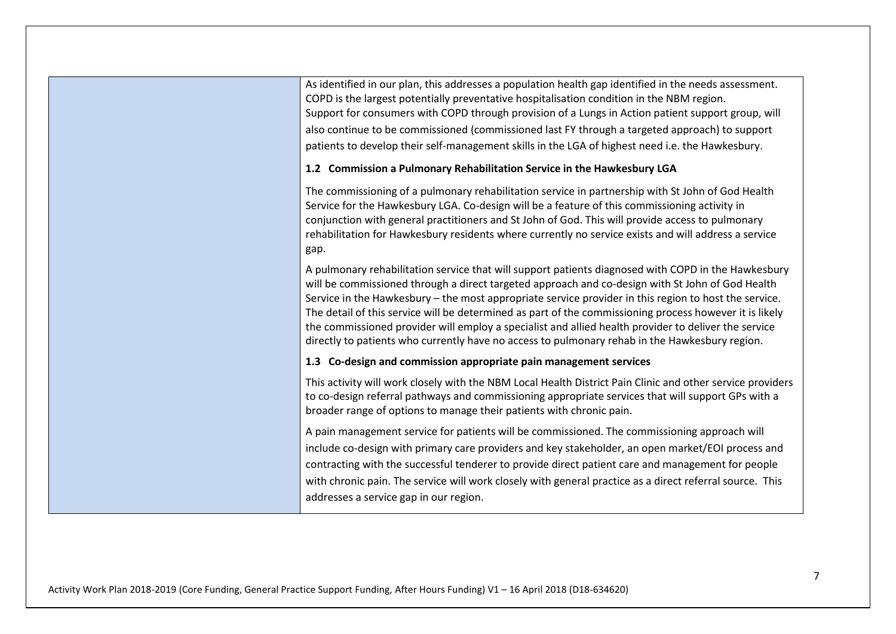As identified in our plan, this addresses a population health gap identified in the needs assessment. COPD is the largest potentially preventative hospitalisation condition in the NBM region. Support for consumers with COPD through provision of a Lungs in Action patient support group, will also continue to be commissioned (commissioned last FY through a targeted approach) to support patients to develop their self-management skills in the LGA of highest need i.e. the Hawkesbury.

#### **1.2 Commission a Pulmonary Rehabilitation Service in the Hawkesbury LGA**

The commissioning of a pulmonary rehabilitation service in partnership with St John of God Health Service for the Hawkesbury LGA. Co-design will be a feature of this commissioning activity in conjunction with general practitioners and St John of God. This will provide access to pulmonary rehabilitation for Hawkesbury residents where currently no service exists and will address a service gap.

A pulmonary rehabilitation service that will support patients diagnosed with COPD in the Hawkesbury will be commissioned through a direct targeted approach and co-design with St John of God Health Service in the Hawkesbury – the most appropriate service provider in this region to host the service. The detail of this service will be determined as part of the commissioning process however it is likely the commissioned provider will employ a specialist and allied health provider to deliver the service directly to patients who currently have no access to pulmonary rehab in the Hawkesbury region.

#### **1.3 Co-design and commission appropriate pain management services**

This activity will work closely with the NBM Local Health District Pain Clinic and other service providers to co-design referral pathways and commissioning appropriate services that will support GPs with a broader range of options to manage their patients with chronic pain.

A pain management service for patients will be commissioned. The commissioning approach will include co-design with primary care providers and key stakeholder, an open market/EOI process and contracting with the successful tenderer to provide direct patient care and management for people with chronic pain. The service will work closely with general practice as a direct referral source. This addresses a service gap in our region.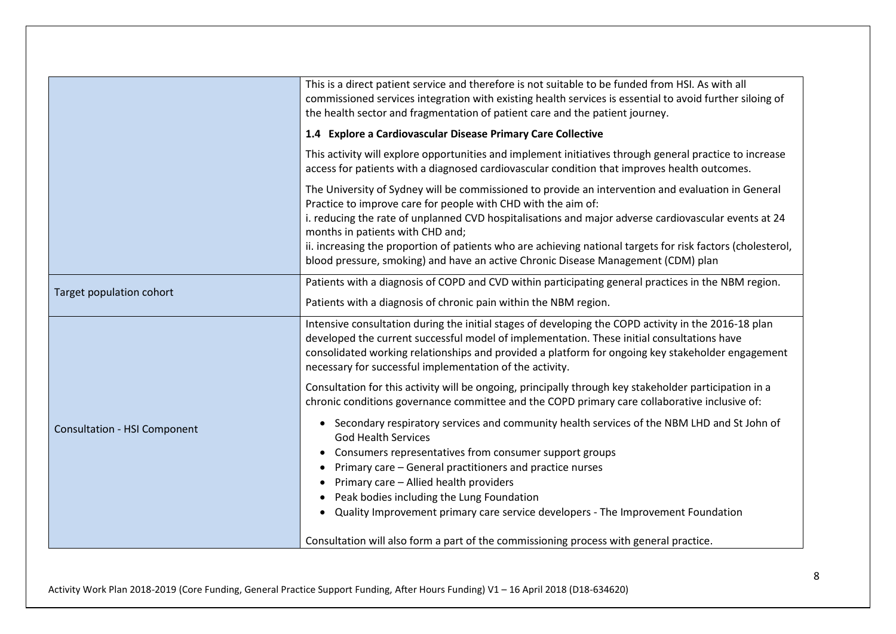|                                     | This is a direct patient service and therefore is not suitable to be funded from HSI. As with all<br>commissioned services integration with existing health services is essential to avoid further siloing of<br>the health sector and fragmentation of patient care and the patient journey.                                                                                                                                                                                                                       |
|-------------------------------------|---------------------------------------------------------------------------------------------------------------------------------------------------------------------------------------------------------------------------------------------------------------------------------------------------------------------------------------------------------------------------------------------------------------------------------------------------------------------------------------------------------------------|
|                                     | 1.4 Explore a Cardiovascular Disease Primary Care Collective                                                                                                                                                                                                                                                                                                                                                                                                                                                        |
|                                     | This activity will explore opportunities and implement initiatives through general practice to increase<br>access for patients with a diagnosed cardiovascular condition that improves health outcomes.                                                                                                                                                                                                                                                                                                             |
|                                     | The University of Sydney will be commissioned to provide an intervention and evaluation in General<br>Practice to improve care for people with CHD with the aim of:<br>i. reducing the rate of unplanned CVD hospitalisations and major adverse cardiovascular events at 24<br>months in patients with CHD and;<br>ii. increasing the proportion of patients who are achieving national targets for risk factors (cholesterol,<br>blood pressure, smoking) and have an active Chronic Disease Management (CDM) plan |
|                                     | Patients with a diagnosis of COPD and CVD within participating general practices in the NBM region.                                                                                                                                                                                                                                                                                                                                                                                                                 |
| Target population cohort            | Patients with a diagnosis of chronic pain within the NBM region.                                                                                                                                                                                                                                                                                                                                                                                                                                                    |
|                                     | Intensive consultation during the initial stages of developing the COPD activity in the 2016-18 plan<br>developed the current successful model of implementation. These initial consultations have<br>consolidated working relationships and provided a platform for ongoing key stakeholder engagement<br>necessary for successful implementation of the activity.                                                                                                                                                 |
|                                     | Consultation for this activity will be ongoing, principally through key stakeholder participation in a<br>chronic conditions governance committee and the COPD primary care collaborative inclusive of:                                                                                                                                                                                                                                                                                                             |
| <b>Consultation - HSI Component</b> | • Secondary respiratory services and community health services of the NBM LHD and St John of<br><b>God Health Services</b><br>Consumers representatives from consumer support groups<br>Primary care - General practitioners and practice nurses<br>Primary care - Allied health providers<br>Peak bodies including the Lung Foundation<br>• Quality Improvement primary care service developers - The Improvement Foundation                                                                                       |
|                                     | Consultation will also form a part of the commissioning process with general practice.                                                                                                                                                                                                                                                                                                                                                                                                                              |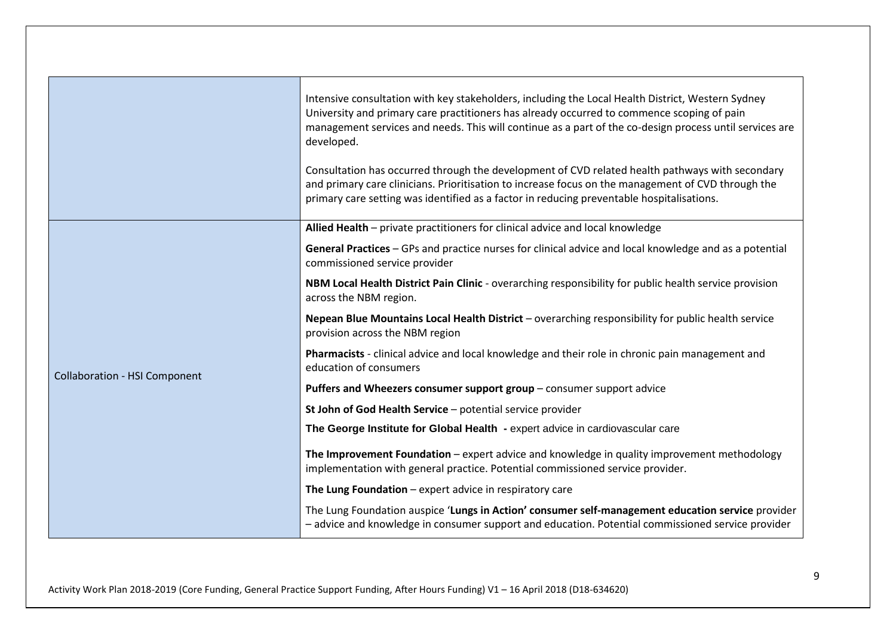|                                      | Intensive consultation with key stakeholders, including the Local Health District, Western Sydney<br>University and primary care practitioners has already occurred to commence scoping of pain<br>management services and needs. This will continue as a part of the co-design process until services are<br>developed.<br>Consultation has occurred through the development of CVD related health pathways with secondary<br>and primary care clinicians. Prioritisation to increase focus on the management of CVD through the<br>primary care setting was identified as a factor in reducing preventable hospitalisations. |
|--------------------------------------|--------------------------------------------------------------------------------------------------------------------------------------------------------------------------------------------------------------------------------------------------------------------------------------------------------------------------------------------------------------------------------------------------------------------------------------------------------------------------------------------------------------------------------------------------------------------------------------------------------------------------------|
|                                      | Allied Health - private practitioners for clinical advice and local knowledge                                                                                                                                                                                                                                                                                                                                                                                                                                                                                                                                                  |
|                                      | General Practices - GPs and practice nurses for clinical advice and local knowledge and as a potential<br>commissioned service provider                                                                                                                                                                                                                                                                                                                                                                                                                                                                                        |
|                                      | NBM Local Health District Pain Clinic - overarching responsibility for public health service provision<br>across the NBM region.                                                                                                                                                                                                                                                                                                                                                                                                                                                                                               |
|                                      | Nepean Blue Mountains Local Health District - overarching responsibility for public health service<br>provision across the NBM region                                                                                                                                                                                                                                                                                                                                                                                                                                                                                          |
|                                      | Pharmacists - clinical advice and local knowledge and their role in chronic pain management and<br>education of consumers                                                                                                                                                                                                                                                                                                                                                                                                                                                                                                      |
| <b>Collaboration - HSI Component</b> | Puffers and Wheezers consumer support group - consumer support advice                                                                                                                                                                                                                                                                                                                                                                                                                                                                                                                                                          |
|                                      | St John of God Health Service - potential service provider                                                                                                                                                                                                                                                                                                                                                                                                                                                                                                                                                                     |
|                                      | The George Institute for Global Health - expert advice in cardiovascular care                                                                                                                                                                                                                                                                                                                                                                                                                                                                                                                                                  |
|                                      | The Improvement Foundation - expert advice and knowledge in quality improvement methodology<br>implementation with general practice. Potential commissioned service provider.                                                                                                                                                                                                                                                                                                                                                                                                                                                  |
|                                      | The Lung Foundation $-$ expert advice in respiratory care                                                                                                                                                                                                                                                                                                                                                                                                                                                                                                                                                                      |
|                                      | The Lung Foundation auspice 'Lungs in Action' consumer self-management education service provider<br>- advice and knowledge in consumer support and education. Potential commissioned service provider                                                                                                                                                                                                                                                                                                                                                                                                                         |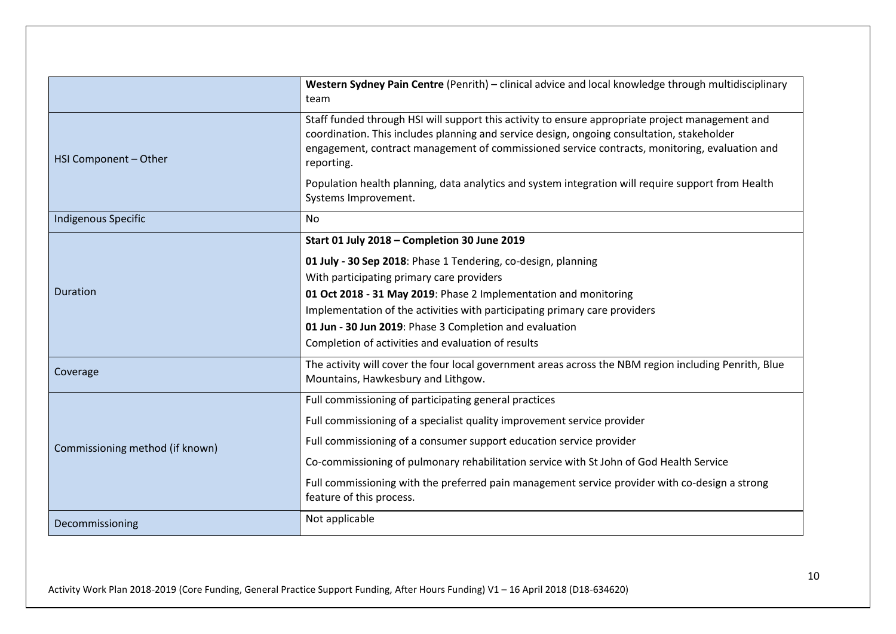|                                 | Western Sydney Pain Centre (Penrith) - clinical advice and local knowledge through multidisciplinary<br>team                                                                                                                                                                                                  |
|---------------------------------|---------------------------------------------------------------------------------------------------------------------------------------------------------------------------------------------------------------------------------------------------------------------------------------------------------------|
| HSI Component - Other           | Staff funded through HSI will support this activity to ensure appropriate project management and<br>coordination. This includes planning and service design, ongoing consultation, stakeholder<br>engagement, contract management of commissioned service contracts, monitoring, evaluation and<br>reporting. |
|                                 | Population health planning, data analytics and system integration will require support from Health<br>Systems Improvement.                                                                                                                                                                                    |
| <b>Indigenous Specific</b>      | <b>No</b>                                                                                                                                                                                                                                                                                                     |
|                                 | Start 01 July 2018 - Completion 30 June 2019                                                                                                                                                                                                                                                                  |
|                                 | 01 July - 30 Sep 2018: Phase 1 Tendering, co-design, planning                                                                                                                                                                                                                                                 |
|                                 | With participating primary care providers                                                                                                                                                                                                                                                                     |
| Duration                        | 01 Oct 2018 - 31 May 2019: Phase 2 Implementation and monitoring                                                                                                                                                                                                                                              |
|                                 | Implementation of the activities with participating primary care providers                                                                                                                                                                                                                                    |
|                                 | 01 Jun - 30 Jun 2019: Phase 3 Completion and evaluation                                                                                                                                                                                                                                                       |
|                                 | Completion of activities and evaluation of results                                                                                                                                                                                                                                                            |
| Coverage                        | The activity will cover the four local government areas across the NBM region including Penrith, Blue<br>Mountains, Hawkesbury and Lithgow.                                                                                                                                                                   |
| Commissioning method (if known) | Full commissioning of participating general practices                                                                                                                                                                                                                                                         |
|                                 | Full commissioning of a specialist quality improvement service provider                                                                                                                                                                                                                                       |
|                                 | Full commissioning of a consumer support education service provider                                                                                                                                                                                                                                           |
|                                 | Co-commissioning of pulmonary rehabilitation service with St John of God Health Service                                                                                                                                                                                                                       |
|                                 | Full commissioning with the preferred pain management service provider with co-design a strong<br>feature of this process.                                                                                                                                                                                    |
| Decommissioning                 | Not applicable                                                                                                                                                                                                                                                                                                |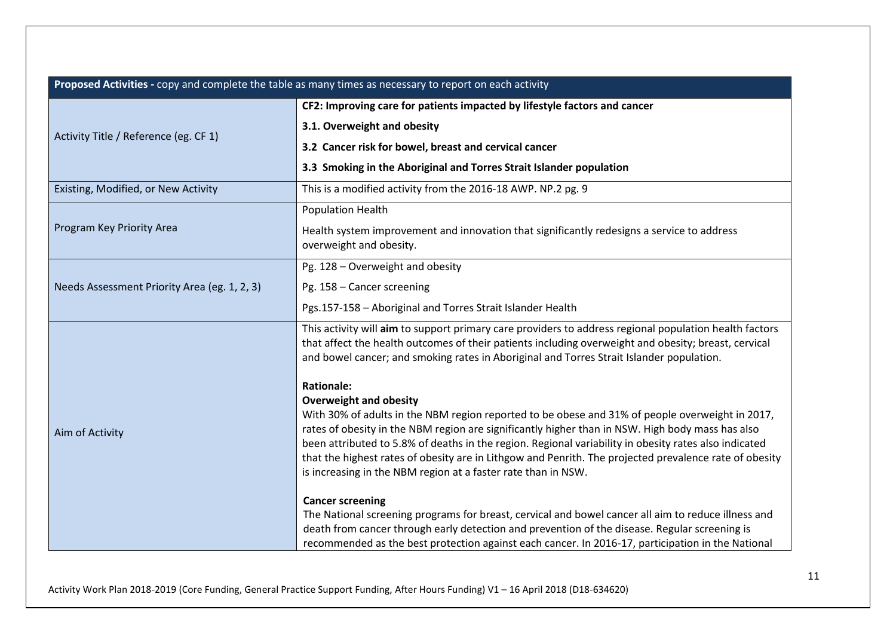| Proposed Activities - copy and complete the table as many times as necessary to report on each activity |                                                                                                                                                                                                                                                                                                            |
|---------------------------------------------------------------------------------------------------------|------------------------------------------------------------------------------------------------------------------------------------------------------------------------------------------------------------------------------------------------------------------------------------------------------------|
|                                                                                                         | CF2: Improving care for patients impacted by lifestyle factors and cancer                                                                                                                                                                                                                                  |
|                                                                                                         | 3.1. Overweight and obesity                                                                                                                                                                                                                                                                                |
| Activity Title / Reference (eg. CF 1)                                                                   | 3.2 Cancer risk for bowel, breast and cervical cancer                                                                                                                                                                                                                                                      |
|                                                                                                         | 3.3 Smoking in the Aboriginal and Torres Strait Islander population                                                                                                                                                                                                                                        |
| Existing, Modified, or New Activity                                                                     | This is a modified activity from the 2016-18 AWP. NP.2 pg. 9                                                                                                                                                                                                                                               |
|                                                                                                         | <b>Population Health</b>                                                                                                                                                                                                                                                                                   |
| Program Key Priority Area                                                                               | Health system improvement and innovation that significantly redesigns a service to address<br>overweight and obesity.                                                                                                                                                                                      |
|                                                                                                         | Pg. 128 - Overweight and obesity                                                                                                                                                                                                                                                                           |
| Needs Assessment Priority Area (eg. 1, 2, 3)                                                            | Pg. 158 - Cancer screening                                                                                                                                                                                                                                                                                 |
|                                                                                                         | Pgs.157-158 - Aboriginal and Torres Strait Islander Health                                                                                                                                                                                                                                                 |
|                                                                                                         | This activity will aim to support primary care providers to address regional population health factors<br>that affect the health outcomes of their patients including overweight and obesity; breast, cervical<br>and bowel cancer; and smoking rates in Aboriginal and Torres Strait Islander population. |
|                                                                                                         | <b>Rationale:</b>                                                                                                                                                                                                                                                                                          |
|                                                                                                         | <b>Overweight and obesity</b>                                                                                                                                                                                                                                                                              |
| Aim of Activity                                                                                         | With 30% of adults in the NBM region reported to be obese and 31% of people overweight in 2017,<br>rates of obesity in the NBM region are significantly higher than in NSW. High body mass has also                                                                                                        |
|                                                                                                         | been attributed to 5.8% of deaths in the region. Regional variability in obesity rates also indicated                                                                                                                                                                                                      |
|                                                                                                         | that the highest rates of obesity are in Lithgow and Penrith. The projected prevalence rate of obesity                                                                                                                                                                                                     |
|                                                                                                         | is increasing in the NBM region at a faster rate than in NSW.                                                                                                                                                                                                                                              |
|                                                                                                         | <b>Cancer screening</b>                                                                                                                                                                                                                                                                                    |
|                                                                                                         | The National screening programs for breast, cervical and bowel cancer all aim to reduce illness and                                                                                                                                                                                                        |
|                                                                                                         | death from cancer through early detection and prevention of the disease. Regular screening is<br>recommended as the best protection against each cancer. In 2016-17, participation in the National                                                                                                         |
|                                                                                                         |                                                                                                                                                                                                                                                                                                            |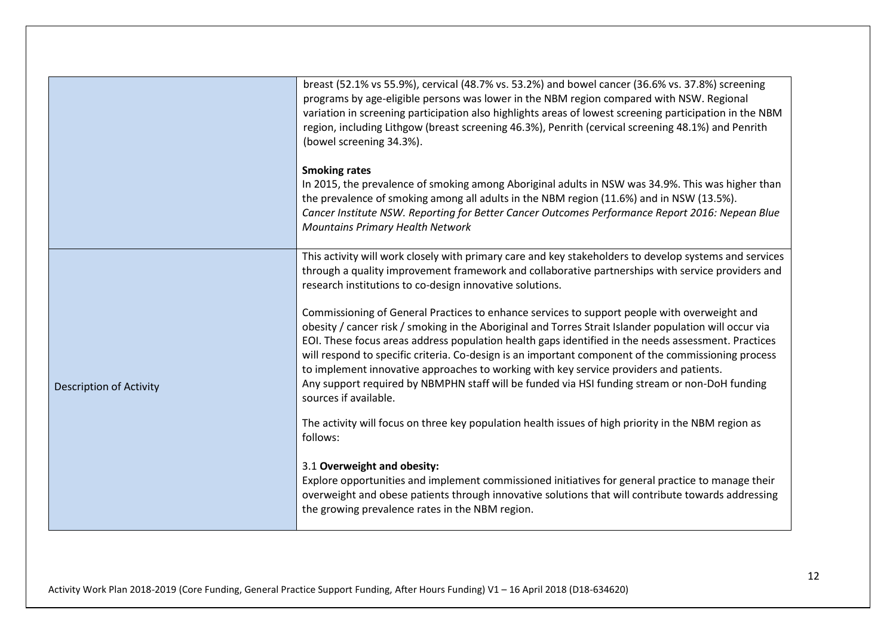|                                | breast (52.1% vs 55.9%), cervical (48.7% vs. 53.2%) and bowel cancer (36.6% vs. 37.8%) screening<br>programs by age-eligible persons was lower in the NBM region compared with NSW. Regional<br>variation in screening participation also highlights areas of lowest screening participation in the NBM<br>region, including Lithgow (breast screening 46.3%), Penrith (cervical screening 48.1%) and Penrith<br>(bowel screening 34.3%).                                                                                                                                                                                                |
|--------------------------------|------------------------------------------------------------------------------------------------------------------------------------------------------------------------------------------------------------------------------------------------------------------------------------------------------------------------------------------------------------------------------------------------------------------------------------------------------------------------------------------------------------------------------------------------------------------------------------------------------------------------------------------|
|                                | <b>Smoking rates</b><br>In 2015, the prevalence of smoking among Aboriginal adults in NSW was 34.9%. This was higher than<br>the prevalence of smoking among all adults in the NBM region (11.6%) and in NSW (13.5%).<br>Cancer Institute NSW. Reporting for Better Cancer Outcomes Performance Report 2016: Nepean Blue<br><b>Mountains Primary Health Network</b>                                                                                                                                                                                                                                                                      |
|                                | This activity will work closely with primary care and key stakeholders to develop systems and services<br>through a quality improvement framework and collaborative partnerships with service providers and<br>research institutions to co-design innovative solutions.                                                                                                                                                                                                                                                                                                                                                                  |
| <b>Description of Activity</b> | Commissioning of General Practices to enhance services to support people with overweight and<br>obesity / cancer risk / smoking in the Aboriginal and Torres Strait Islander population will occur via<br>EOI. These focus areas address population health gaps identified in the needs assessment. Practices<br>will respond to specific criteria. Co-design is an important component of the commissioning process<br>to implement innovative approaches to working with key service providers and patients.<br>Any support required by NBMPHN staff will be funded via HSI funding stream or non-DoH funding<br>sources if available. |
|                                | The activity will focus on three key population health issues of high priority in the NBM region as<br>follows:                                                                                                                                                                                                                                                                                                                                                                                                                                                                                                                          |
|                                | 3.1 Overweight and obesity:<br>Explore opportunities and implement commissioned initiatives for general practice to manage their<br>overweight and obese patients through innovative solutions that will contribute towards addressing<br>the growing prevalence rates in the NBM region.                                                                                                                                                                                                                                                                                                                                                |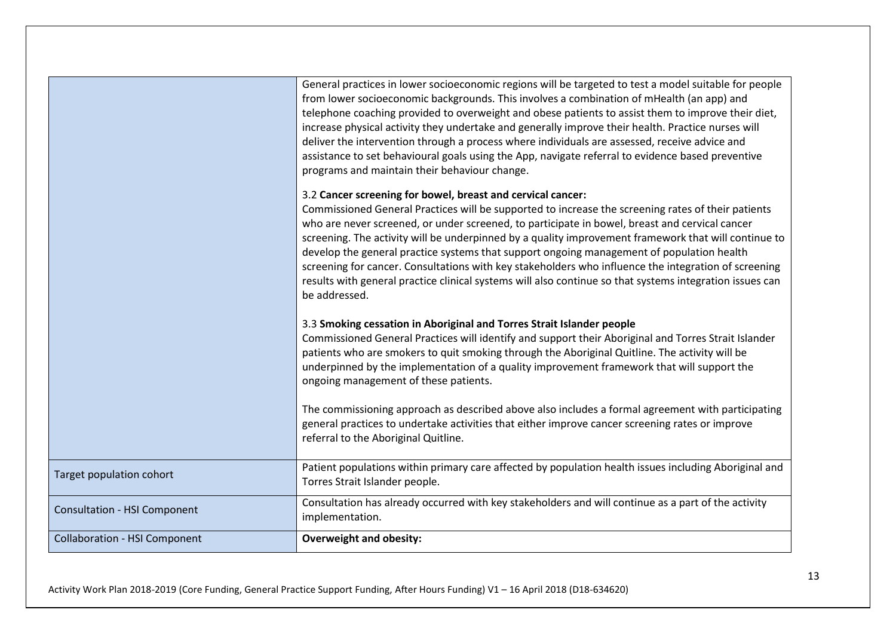|                                      | General practices in lower socioeconomic regions will be targeted to test a model suitable for people<br>from lower socioeconomic backgrounds. This involves a combination of mHealth (an app) and<br>telephone coaching provided to overweight and obese patients to assist them to improve their diet,<br>increase physical activity they undertake and generally improve their health. Practice nurses will<br>deliver the intervention through a process where individuals are assessed, receive advice and<br>assistance to set behavioural goals using the App, navigate referral to evidence based preventive<br>programs and maintain their behaviour change.<br>3.2 Cancer screening for bowel, breast and cervical cancer:<br>Commissioned General Practices will be supported to increase the screening rates of their patients<br>who are never screened, or under screened, to participate in bowel, breast and cervical cancer<br>screening. The activity will be underpinned by a quality improvement framework that will continue to<br>develop the general practice systems that support ongoing management of population health<br>screening for cancer. Consultations with key stakeholders who influence the integration of screening<br>results with general practice clinical systems will also continue so that systems integration issues can<br>be addressed.<br>3.3 Smoking cessation in Aboriginal and Torres Strait Islander people<br>Commissioned General Practices will identify and support their Aboriginal and Torres Strait Islander<br>patients who are smokers to quit smoking through the Aboriginal Quitline. The activity will be<br>underpinned by the implementation of a quality improvement framework that will support the<br>ongoing management of these patients.<br>The commissioning approach as described above also includes a formal agreement with participating<br>general practices to undertake activities that either improve cancer screening rates or improve<br>referral to the Aboriginal Quitline. |
|--------------------------------------|------------------------------------------------------------------------------------------------------------------------------------------------------------------------------------------------------------------------------------------------------------------------------------------------------------------------------------------------------------------------------------------------------------------------------------------------------------------------------------------------------------------------------------------------------------------------------------------------------------------------------------------------------------------------------------------------------------------------------------------------------------------------------------------------------------------------------------------------------------------------------------------------------------------------------------------------------------------------------------------------------------------------------------------------------------------------------------------------------------------------------------------------------------------------------------------------------------------------------------------------------------------------------------------------------------------------------------------------------------------------------------------------------------------------------------------------------------------------------------------------------------------------------------------------------------------------------------------------------------------------------------------------------------------------------------------------------------------------------------------------------------------------------------------------------------------------------------------------------------------------------------------------------------------------------------------------------------------------------------------------------------------------------------------------------------------|
| Target population cohort             | Patient populations within primary care affected by population health issues including Aboriginal and<br>Torres Strait Islander people.                                                                                                                                                                                                                                                                                                                                                                                                                                                                                                                                                                                                                                                                                                                                                                                                                                                                                                                                                                                                                                                                                                                                                                                                                                                                                                                                                                                                                                                                                                                                                                                                                                                                                                                                                                                                                                                                                                                          |
| <b>Consultation - HSI Component</b>  | Consultation has already occurred with key stakeholders and will continue as a part of the activity<br>implementation.                                                                                                                                                                                                                                                                                                                                                                                                                                                                                                                                                                                                                                                                                                                                                                                                                                                                                                                                                                                                                                                                                                                                                                                                                                                                                                                                                                                                                                                                                                                                                                                                                                                                                                                                                                                                                                                                                                                                           |
| <b>Collaboration - HSI Component</b> | <b>Overweight and obesity:</b>                                                                                                                                                                                                                                                                                                                                                                                                                                                                                                                                                                                                                                                                                                                                                                                                                                                                                                                                                                                                                                                                                                                                                                                                                                                                                                                                                                                                                                                                                                                                                                                                                                                                                                                                                                                                                                                                                                                                                                                                                                   |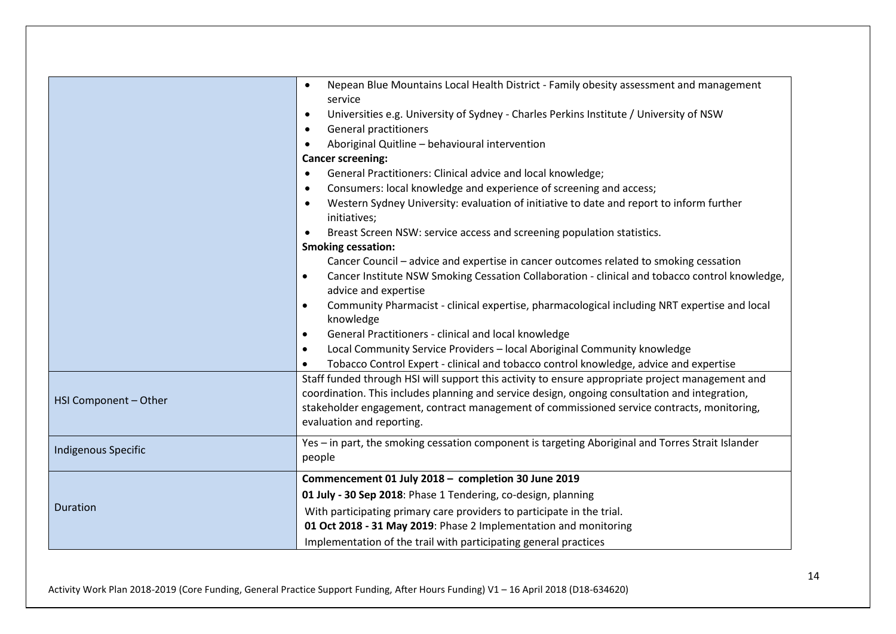| HSI Component - Other      | Nepean Blue Mountains Local Health District - Family obesity assessment and management<br>service<br>Universities e.g. University of Sydney - Charles Perkins Institute / University of NSW<br>$\bullet$<br><b>General practitioners</b><br>$\bullet$<br>Aboriginal Quitline - behavioural intervention<br>$\bullet$<br><b>Cancer screening:</b><br>General Practitioners: Clinical advice and local knowledge;<br>$\bullet$<br>Consumers: local knowledge and experience of screening and access;<br>$\bullet$<br>Western Sydney University: evaluation of initiative to date and report to inform further<br>$\bullet$<br>initiatives;<br>Breast Screen NSW: service access and screening population statistics.<br><b>Smoking cessation:</b><br>Cancer Council - advice and expertise in cancer outcomes related to smoking cessation<br>Cancer Institute NSW Smoking Cessation Collaboration - clinical and tobacco control knowledge,<br>$\bullet$<br>advice and expertise<br>Community Pharmacist - clinical expertise, pharmacological including NRT expertise and local<br>$\bullet$<br>knowledge<br>General Practitioners - clinical and local knowledge<br>$\bullet$<br>Local Community Service Providers - local Aboriginal Community knowledge<br>Tobacco Control Expert - clinical and tobacco control knowledge, advice and expertise<br>Staff funded through HSI will support this activity to ensure appropriate project management and<br>coordination. This includes planning and service design, ongoing consultation and integration,<br>stakeholder engagement, contract management of commissioned service contracts, monitoring,<br>evaluation and reporting. |
|----------------------------|--------------------------------------------------------------------------------------------------------------------------------------------------------------------------------------------------------------------------------------------------------------------------------------------------------------------------------------------------------------------------------------------------------------------------------------------------------------------------------------------------------------------------------------------------------------------------------------------------------------------------------------------------------------------------------------------------------------------------------------------------------------------------------------------------------------------------------------------------------------------------------------------------------------------------------------------------------------------------------------------------------------------------------------------------------------------------------------------------------------------------------------------------------------------------------------------------------------------------------------------------------------------------------------------------------------------------------------------------------------------------------------------------------------------------------------------------------------------------------------------------------------------------------------------------------------------------------------------------------------------------------------------------------------------------------------|
| <b>Indigenous Specific</b> | Yes - in part, the smoking cessation component is targeting Aboriginal and Torres Strait Islander<br>people                                                                                                                                                                                                                                                                                                                                                                                                                                                                                                                                                                                                                                                                                                                                                                                                                                                                                                                                                                                                                                                                                                                                                                                                                                                                                                                                                                                                                                                                                                                                                                          |
| <b>Duration</b>            | Commencement 01 July 2018 - completion 30 June 2019<br>01 July - 30 Sep 2018: Phase 1 Tendering, co-design, planning<br>With participating primary care providers to participate in the trial.<br>01 Oct 2018 - 31 May 2019: Phase 2 Implementation and monitoring<br>Implementation of the trail with participating general practices                                                                                                                                                                                                                                                                                                                                                                                                                                                                                                                                                                                                                                                                                                                                                                                                                                                                                                                                                                                                                                                                                                                                                                                                                                                                                                                                               |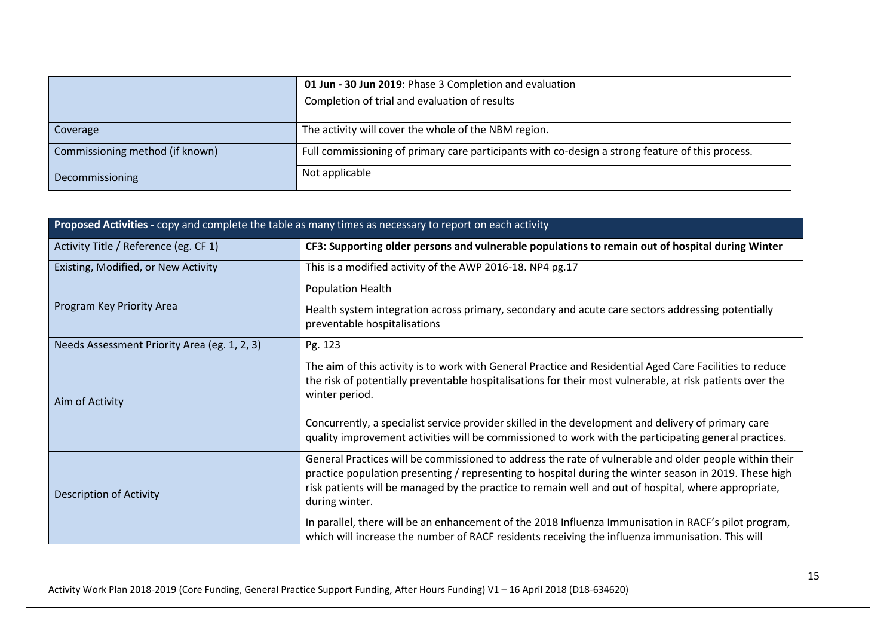|                                 | 01 Jun - 30 Jun 2019: Phase 3 Completion and evaluation<br>Completion of trial and evaluation of results |
|---------------------------------|----------------------------------------------------------------------------------------------------------|
| Coverage                        | The activity will cover the whole of the NBM region.                                                     |
| Commissioning method (if known) | Full commissioning of primary care participants with co-design a strong feature of this process.         |
| Decommissioning                 | Not applicable                                                                                           |

| Proposed Activities - copy and complete the table as many times as necessary to report on each activity |                                                                                                                                                                                                                                                                                                                                            |  |
|---------------------------------------------------------------------------------------------------------|--------------------------------------------------------------------------------------------------------------------------------------------------------------------------------------------------------------------------------------------------------------------------------------------------------------------------------------------|--|
| Activity Title / Reference (eg. CF 1)                                                                   | CF3: Supporting older persons and vulnerable populations to remain out of hospital during Winter                                                                                                                                                                                                                                           |  |
| Existing, Modified, or New Activity                                                                     | This is a modified activity of the AWP 2016-18. NP4 pg.17                                                                                                                                                                                                                                                                                  |  |
|                                                                                                         | <b>Population Health</b>                                                                                                                                                                                                                                                                                                                   |  |
| Program Key Priority Area                                                                               | Health system integration across primary, secondary and acute care sectors addressing potentially<br>preventable hospitalisations                                                                                                                                                                                                          |  |
| Needs Assessment Priority Area (eg. 1, 2, 3)                                                            | Pg. 123                                                                                                                                                                                                                                                                                                                                    |  |
| Aim of Activity                                                                                         | The aim of this activity is to work with General Practice and Residential Aged Care Facilities to reduce<br>the risk of potentially preventable hospitalisations for their most vulnerable, at risk patients over the<br>winter period.                                                                                                    |  |
|                                                                                                         | Concurrently, a specialist service provider skilled in the development and delivery of primary care<br>quality improvement activities will be commissioned to work with the participating general practices.                                                                                                                               |  |
| Description of Activity                                                                                 | General Practices will be commissioned to address the rate of vulnerable and older people within their<br>practice population presenting / representing to hospital during the winter season in 2019. These high<br>risk patients will be managed by the practice to remain well and out of hospital, where appropriate,<br>during winter. |  |
|                                                                                                         | In parallel, there will be an enhancement of the 2018 Influenza Immunisation in RACF's pilot program,<br>which will increase the number of RACF residents receiving the influenza immunisation. This will                                                                                                                                  |  |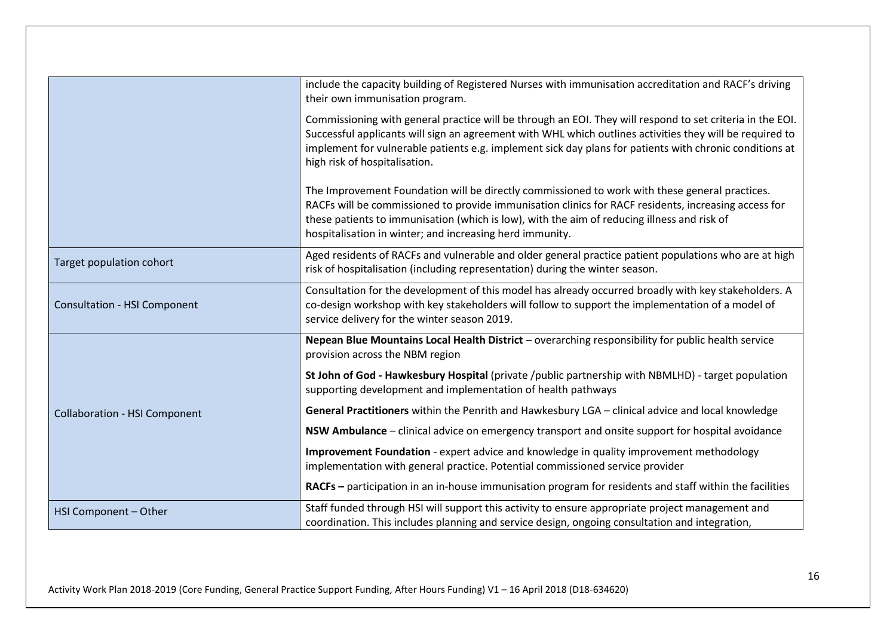|                                      | include the capacity building of Registered Nurses with immunisation accreditation and RACF's driving<br>their own immunisation program.                                                                                                                                                                                                                          |
|--------------------------------------|-------------------------------------------------------------------------------------------------------------------------------------------------------------------------------------------------------------------------------------------------------------------------------------------------------------------------------------------------------------------|
|                                      | Commissioning with general practice will be through an EOI. They will respond to set criteria in the EOI.<br>Successful applicants will sign an agreement with WHL which outlines activities they will be required to<br>implement for vulnerable patients e.g. implement sick day plans for patients with chronic conditions at<br>high risk of hospitalisation. |
|                                      | The Improvement Foundation will be directly commissioned to work with these general practices.<br>RACFs will be commissioned to provide immunisation clinics for RACF residents, increasing access for<br>these patients to immunisation (which is low), with the aim of reducing illness and risk of<br>hospitalisation in winter; and increasing herd immunity. |
| Target population cohort             | Aged residents of RACFs and vulnerable and older general practice patient populations who are at high<br>risk of hospitalisation (including representation) during the winter season.                                                                                                                                                                             |
| <b>Consultation - HSI Component</b>  | Consultation for the development of this model has already occurred broadly with key stakeholders. A<br>co-design workshop with key stakeholders will follow to support the implementation of a model of<br>service delivery for the winter season 2019.                                                                                                          |
|                                      | Nepean Blue Mountains Local Health District - overarching responsibility for public health service<br>provision across the NBM region                                                                                                                                                                                                                             |
|                                      | St John of God - Hawkesbury Hospital (private /public partnership with NBMLHD) - target population<br>supporting development and implementation of health pathways                                                                                                                                                                                                |
| <b>Collaboration - HSI Component</b> | General Practitioners within the Penrith and Hawkesbury LGA - clinical advice and local knowledge                                                                                                                                                                                                                                                                 |
|                                      | NSW Ambulance - clinical advice on emergency transport and onsite support for hospital avoidance                                                                                                                                                                                                                                                                  |
|                                      | Improvement Foundation - expert advice and knowledge in quality improvement methodology<br>implementation with general practice. Potential commissioned service provider                                                                                                                                                                                          |
|                                      | RACFs - participation in an in-house immunisation program for residents and staff within the facilities                                                                                                                                                                                                                                                           |
| HSI Component - Other                | Staff funded through HSI will support this activity to ensure appropriate project management and<br>coordination. This includes planning and service design, ongoing consultation and integration,                                                                                                                                                                |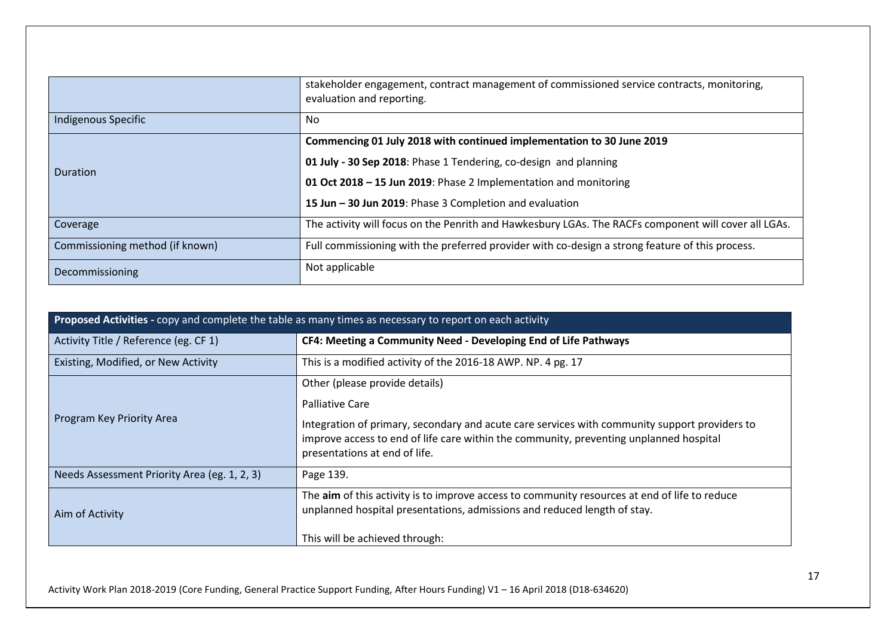|                                 | stakeholder engagement, contract management of commissioned service contracts, monitoring,<br>evaluation and reporting. |
|---------------------------------|-------------------------------------------------------------------------------------------------------------------------|
| Indigenous Specific             | No                                                                                                                      |
| Duration                        | Commencing 01 July 2018 with continued implementation to 30 June 2019                                                   |
|                                 | 01 July - 30 Sep 2018: Phase 1 Tendering, co-design and planning                                                        |
|                                 | 01 Oct 2018 - 15 Jun 2019: Phase 2 Implementation and monitoring                                                        |
|                                 | 15 Jun - 30 Jun 2019: Phase 3 Completion and evaluation                                                                 |
| Coverage                        | The activity will focus on the Penrith and Hawkesbury LGAs. The RACFs component will cover all LGAs.                    |
| Commissioning method (if known) | Full commissioning with the preferred provider with co-design a strong feature of this process.                         |
| Decommissioning                 | Not applicable                                                                                                          |

| Proposed Activities - copy and complete the table as many times as necessary to report on each activity |                                                                                                                                                                                                                          |
|---------------------------------------------------------------------------------------------------------|--------------------------------------------------------------------------------------------------------------------------------------------------------------------------------------------------------------------------|
| Activity Title / Reference (eg. CF 1)                                                                   | CF4: Meeting a Community Need - Developing End of Life Pathways                                                                                                                                                          |
| Existing, Modified, or New Activity                                                                     | This is a modified activity of the 2016-18 AWP. NP. 4 pg. 17                                                                                                                                                             |
| Program Key Priority Area                                                                               | Other (please provide details)                                                                                                                                                                                           |
|                                                                                                         | <b>Palliative Care</b>                                                                                                                                                                                                   |
|                                                                                                         | Integration of primary, secondary and acute care services with community support providers to<br>improve access to end of life care within the community, preventing unplanned hospital<br>presentations at end of life. |
| Needs Assessment Priority Area (eg. 1, 2, 3)                                                            | Page 139.                                                                                                                                                                                                                |
| Aim of Activity                                                                                         | The aim of this activity is to improve access to community resources at end of life to reduce<br>unplanned hospital presentations, admissions and reduced length of stay.                                                |
|                                                                                                         | This will be achieved through:                                                                                                                                                                                           |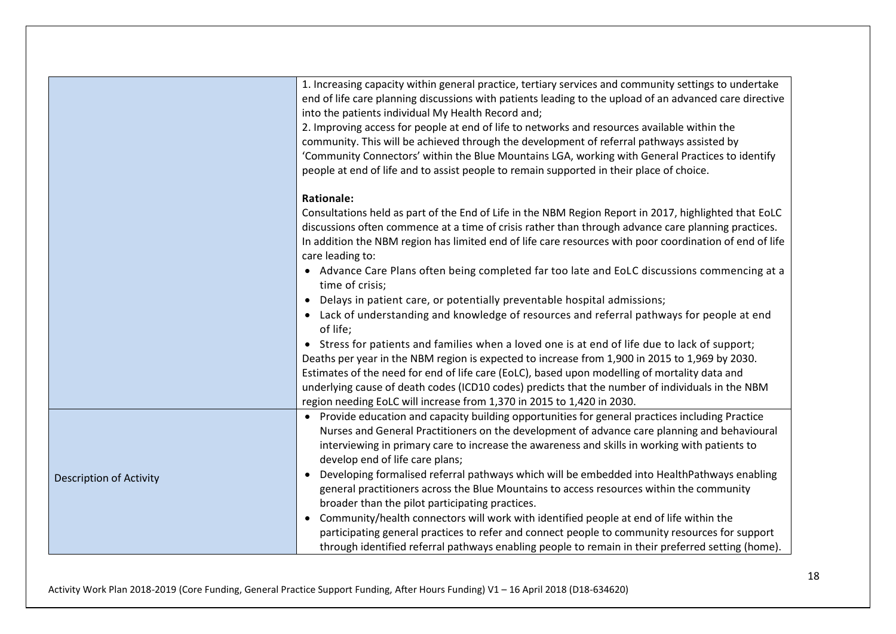|                                | 1. Increasing capacity within general practice, tertiary services and community settings to undertake                                                                                                          |
|--------------------------------|----------------------------------------------------------------------------------------------------------------------------------------------------------------------------------------------------------------|
|                                | end of life care planning discussions with patients leading to the upload of an advanced care directive<br>into the patients individual My Health Record and;                                                  |
|                                | 2. Improving access for people at end of life to networks and resources available within the                                                                                                                   |
|                                | community. This will be achieved through the development of referral pathways assisted by                                                                                                                      |
|                                | 'Community Connectors' within the Blue Mountains LGA, working with General Practices to identify                                                                                                               |
|                                | people at end of life and to assist people to remain supported in their place of choice.                                                                                                                       |
|                                | <b>Rationale:</b>                                                                                                                                                                                              |
|                                | Consultations held as part of the End of Life in the NBM Region Report in 2017, highlighted that EoLC                                                                                                          |
|                                | discussions often commence at a time of crisis rather than through advance care planning practices.<br>In addition the NBM region has limited end of life care resources with poor coordination of end of life |
|                                | care leading to:                                                                                                                                                                                               |
|                                | • Advance Care Plans often being completed far too late and EoLC discussions commencing at a                                                                                                                   |
|                                | time of crisis;                                                                                                                                                                                                |
|                                | • Delays in patient care, or potentially preventable hospital admissions;                                                                                                                                      |
|                                | • Lack of understanding and knowledge of resources and referral pathways for people at end<br>of life;                                                                                                         |
|                                | • Stress for patients and families when a loved one is at end of life due to lack of support;                                                                                                                  |
|                                | Deaths per year in the NBM region is expected to increase from 1,900 in 2015 to 1,969 by 2030.                                                                                                                 |
|                                | Estimates of the need for end of life care (EoLC), based upon modelling of mortality data and                                                                                                                  |
|                                | underlying cause of death codes (ICD10 codes) predicts that the number of individuals in the NBM<br>region needing EoLC will increase from 1,370 in 2015 to 1,420 in 2030.                                     |
| <b>Description of Activity</b> | • Provide education and capacity building opportunities for general practices including Practice                                                                                                               |
|                                | Nurses and General Practitioners on the development of advance care planning and behavioural                                                                                                                   |
|                                | interviewing in primary care to increase the awareness and skills in working with patients to                                                                                                                  |
|                                | develop end of life care plans;                                                                                                                                                                                |
|                                | Developing formalised referral pathways which will be embedded into HealthPathways enabling                                                                                                                    |
|                                | general practitioners across the Blue Mountains to access resources within the community                                                                                                                       |
|                                | broader than the pilot participating practices.                                                                                                                                                                |
|                                | Community/health connectors will work with identified people at end of life within the<br>$\bullet$                                                                                                            |
|                                | participating general practices to refer and connect people to community resources for support                                                                                                                 |
|                                | through identified referral pathways enabling people to remain in their preferred setting (home).                                                                                                              |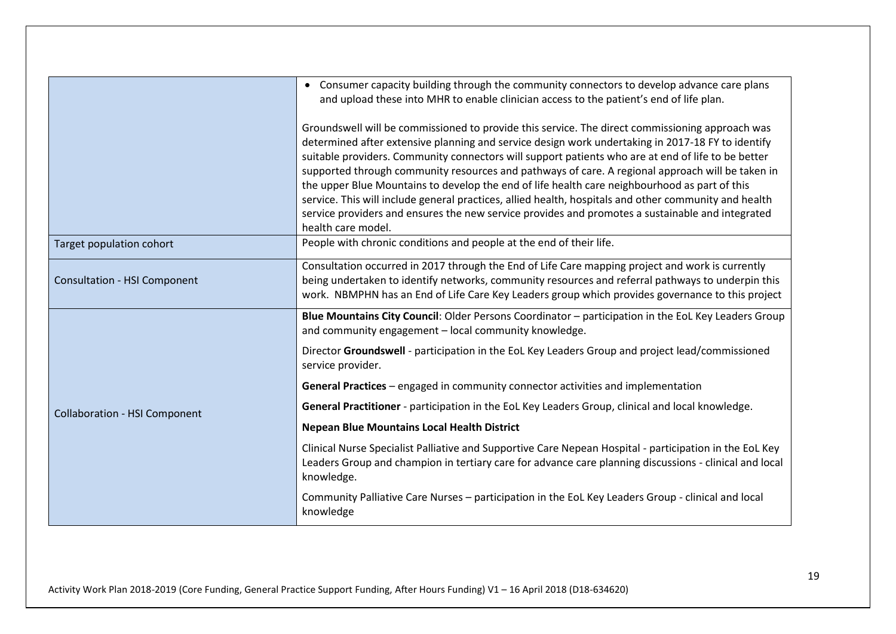|                                      | • Consumer capacity building through the community connectors to develop advance care plans<br>and upload these into MHR to enable clinician access to the patient's end of life plan.                                                                                                                                                                                                                                                                                                                                                                                                                                                                                                                                                             |
|--------------------------------------|----------------------------------------------------------------------------------------------------------------------------------------------------------------------------------------------------------------------------------------------------------------------------------------------------------------------------------------------------------------------------------------------------------------------------------------------------------------------------------------------------------------------------------------------------------------------------------------------------------------------------------------------------------------------------------------------------------------------------------------------------|
|                                      | Groundswell will be commissioned to provide this service. The direct commissioning approach was<br>determined after extensive planning and service design work undertaking in 2017-18 FY to identify<br>suitable providers. Community connectors will support patients who are at end of life to be better<br>supported through community resources and pathways of care. A regional approach will be taken in<br>the upper Blue Mountains to develop the end of life health care neighbourhood as part of this<br>service. This will include general practices, allied health, hospitals and other community and health<br>service providers and ensures the new service provides and promotes a sustainable and integrated<br>health care model. |
| Target population cohort             | People with chronic conditions and people at the end of their life.                                                                                                                                                                                                                                                                                                                                                                                                                                                                                                                                                                                                                                                                                |
| <b>Consultation - HSI Component</b>  | Consultation occurred in 2017 through the End of Life Care mapping project and work is currently<br>being undertaken to identify networks, community resources and referral pathways to underpin this<br>work. NBMPHN has an End of Life Care Key Leaders group which provides governance to this project                                                                                                                                                                                                                                                                                                                                                                                                                                          |
|                                      | Blue Mountains City Council: Older Persons Coordinator - participation in the EoL Key Leaders Group<br>and community engagement - local community knowledge.                                                                                                                                                                                                                                                                                                                                                                                                                                                                                                                                                                                       |
|                                      | Director Groundswell - participation in the EoL Key Leaders Group and project lead/commissioned<br>service provider.                                                                                                                                                                                                                                                                                                                                                                                                                                                                                                                                                                                                                               |
|                                      | General Practices - engaged in community connector activities and implementation                                                                                                                                                                                                                                                                                                                                                                                                                                                                                                                                                                                                                                                                   |
| <b>Collaboration - HSI Component</b> | General Practitioner - participation in the EoL Key Leaders Group, clinical and local knowledge.                                                                                                                                                                                                                                                                                                                                                                                                                                                                                                                                                                                                                                                   |
|                                      | <b>Nepean Blue Mountains Local Health District</b>                                                                                                                                                                                                                                                                                                                                                                                                                                                                                                                                                                                                                                                                                                 |
|                                      | Clinical Nurse Specialist Palliative and Supportive Care Nepean Hospital - participation in the EoL Key<br>Leaders Group and champion in tertiary care for advance care planning discussions - clinical and local<br>knowledge.                                                                                                                                                                                                                                                                                                                                                                                                                                                                                                                    |
|                                      | Community Palliative Care Nurses - participation in the EoL Key Leaders Group - clinical and local<br>knowledge                                                                                                                                                                                                                                                                                                                                                                                                                                                                                                                                                                                                                                    |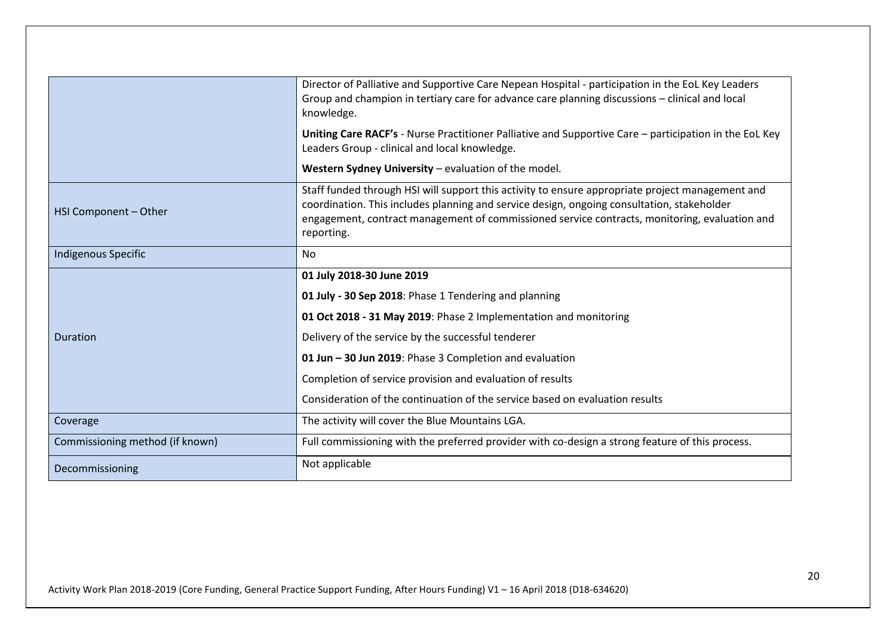|                                 | Director of Palliative and Supportive Care Nepean Hospital - participation in the EoL Key Leaders<br>Group and champion in tertiary care for advance care planning discussions - clinical and local<br>knowledge.                                                                                             |
|---------------------------------|---------------------------------------------------------------------------------------------------------------------------------------------------------------------------------------------------------------------------------------------------------------------------------------------------------------|
|                                 | Uniting Care RACF's - Nurse Practitioner Palliative and Supportive Care - participation in the EoL Key<br>Leaders Group - clinical and local knowledge.                                                                                                                                                       |
|                                 | Western Sydney University - evaluation of the model.                                                                                                                                                                                                                                                          |
| HSI Component - Other           | Staff funded through HSI will support this activity to ensure appropriate project management and<br>coordination. This includes planning and service design, ongoing consultation, stakeholder<br>engagement, contract management of commissioned service contracts, monitoring, evaluation and<br>reporting. |
| <b>Indigenous Specific</b>      | No.                                                                                                                                                                                                                                                                                                           |
|                                 | 01 July 2018-30 June 2019                                                                                                                                                                                                                                                                                     |
|                                 | 01 July - 30 Sep 2018: Phase 1 Tendering and planning                                                                                                                                                                                                                                                         |
|                                 | 01 Oct 2018 - 31 May 2019: Phase 2 Implementation and monitoring                                                                                                                                                                                                                                              |
| Duration                        | Delivery of the service by the successful tenderer                                                                                                                                                                                                                                                            |
|                                 | 01 Jun - 30 Jun 2019: Phase 3 Completion and evaluation                                                                                                                                                                                                                                                       |
|                                 | Completion of service provision and evaluation of results                                                                                                                                                                                                                                                     |
|                                 | Consideration of the continuation of the service based on evaluation results                                                                                                                                                                                                                                  |
| Coverage                        | The activity will cover the Blue Mountains LGA.                                                                                                                                                                                                                                                               |
| Commissioning method (if known) | Full commissioning with the preferred provider with co-design a strong feature of this process.                                                                                                                                                                                                               |
| Decommissioning                 | Not applicable                                                                                                                                                                                                                                                                                                |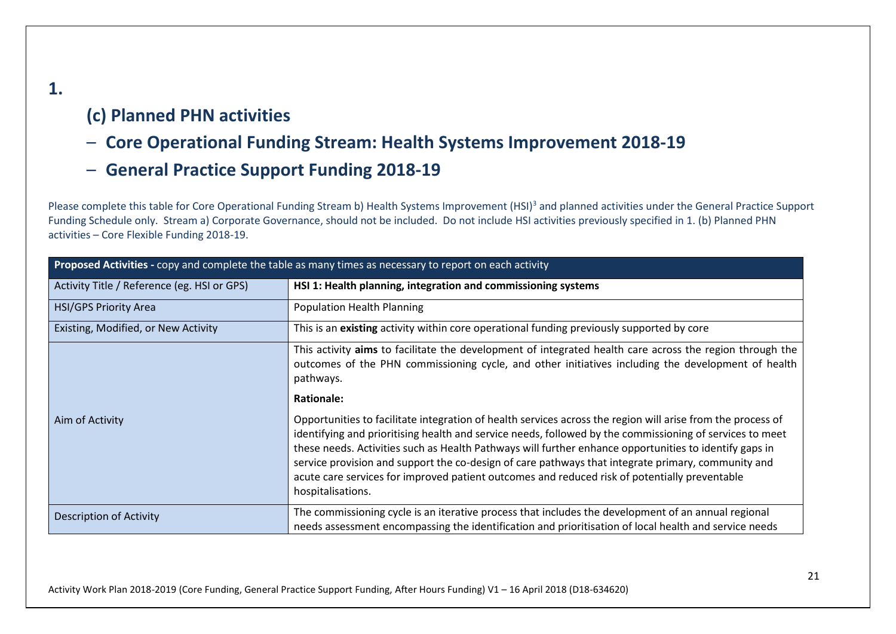# **(c) Planned PHN activities**

**1.**

- **Core Operational Funding Stream: Health Systems Improvement 2018-19**
- **General Practice Support Funding 2018-19**

Please complete this table for Core Operational Funding Stream b) Health Systems Improvement (HSI)<sup>3</sup> and planned activities under the General Practice Support Funding Schedule only. Stream a) Corporate Governance, should not be included. Do not include HSI activities previously specified in 1. (b) Planned PHN activities – Core Flexible Funding 2018-19.

| Proposed Activities - copy and complete the table as many times as necessary to report on each activity |                                                                                                                                                                                                                                                                                                                                                                                                                                                                                                                                                               |
|---------------------------------------------------------------------------------------------------------|---------------------------------------------------------------------------------------------------------------------------------------------------------------------------------------------------------------------------------------------------------------------------------------------------------------------------------------------------------------------------------------------------------------------------------------------------------------------------------------------------------------------------------------------------------------|
| Activity Title / Reference (eg. HSI or GPS)                                                             | HSI 1: Health planning, integration and commissioning systems                                                                                                                                                                                                                                                                                                                                                                                                                                                                                                 |
| <b>HSI/GPS Priority Area</b>                                                                            | <b>Population Health Planning</b>                                                                                                                                                                                                                                                                                                                                                                                                                                                                                                                             |
| Existing, Modified, or New Activity                                                                     | This is an existing activity within core operational funding previously supported by core                                                                                                                                                                                                                                                                                                                                                                                                                                                                     |
|                                                                                                         | This activity aims to facilitate the development of integrated health care across the region through the<br>outcomes of the PHN commissioning cycle, and other initiatives including the development of health<br>pathways.                                                                                                                                                                                                                                                                                                                                   |
|                                                                                                         | <b>Rationale:</b>                                                                                                                                                                                                                                                                                                                                                                                                                                                                                                                                             |
| Aim of Activity                                                                                         | Opportunities to facilitate integration of health services across the region will arise from the process of<br>identifying and prioritising health and service needs, followed by the commissioning of services to meet<br>these needs. Activities such as Health Pathways will further enhance opportunities to identify gaps in<br>service provision and support the co-design of care pathways that integrate primary, community and<br>acute care services for improved patient outcomes and reduced risk of potentially preventable<br>hospitalisations. |
| <b>Description of Activity</b>                                                                          | The commissioning cycle is an iterative process that includes the development of an annual regional<br>needs assessment encompassing the identification and prioritisation of local health and service needs                                                                                                                                                                                                                                                                                                                                                  |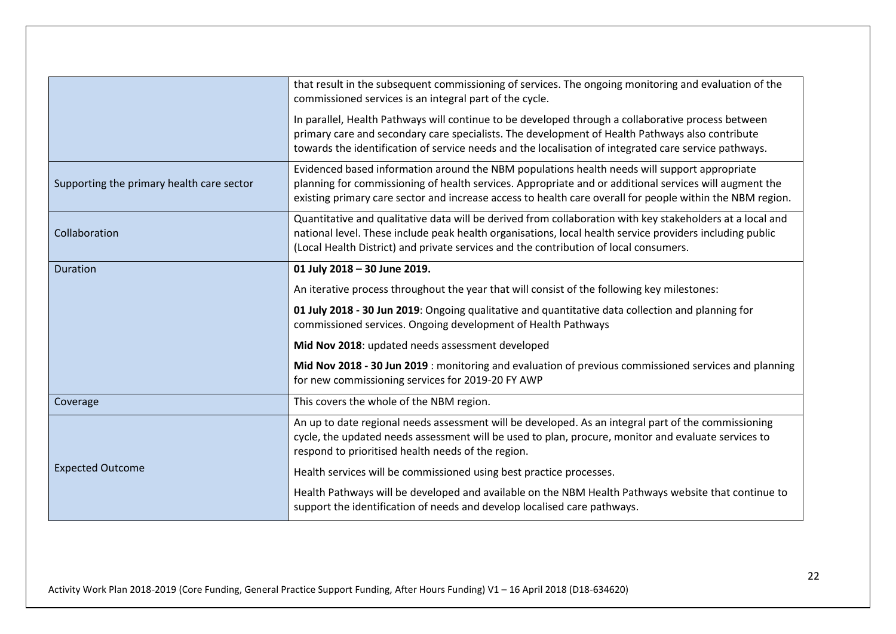|                                           | that result in the subsequent commissioning of services. The ongoing monitoring and evaluation of the<br>commissioned services is an integral part of the cycle.                                                                                                                                                    |
|-------------------------------------------|---------------------------------------------------------------------------------------------------------------------------------------------------------------------------------------------------------------------------------------------------------------------------------------------------------------------|
|                                           | In parallel, Health Pathways will continue to be developed through a collaborative process between<br>primary care and secondary care specialists. The development of Health Pathways also contribute<br>towards the identification of service needs and the localisation of integrated care service pathways.      |
| Supporting the primary health care sector | Evidenced based information around the NBM populations health needs will support appropriate<br>planning for commissioning of health services. Appropriate and or additional services will augment the<br>existing primary care sector and increase access to health care overall for people within the NBM region. |
| Collaboration                             | Quantitative and qualitative data will be derived from collaboration with key stakeholders at a local and<br>national level. These include peak health organisations, local health service providers including public<br>(Local Health District) and private services and the contribution of local consumers.      |
| <b>Duration</b>                           | 01 July 2018 - 30 June 2019.                                                                                                                                                                                                                                                                                        |
|                                           | An iterative process throughout the year that will consist of the following key milestones:                                                                                                                                                                                                                         |
|                                           | 01 July 2018 - 30 Jun 2019: Ongoing qualitative and quantitative data collection and planning for<br>commissioned services. Ongoing development of Health Pathways                                                                                                                                                  |
|                                           | Mid Nov 2018: updated needs assessment developed                                                                                                                                                                                                                                                                    |
|                                           | Mid Nov 2018 - 30 Jun 2019 : monitoring and evaluation of previous commissioned services and planning<br>for new commissioning services for 2019-20 FY AWP                                                                                                                                                          |
| Coverage                                  | This covers the whole of the NBM region.                                                                                                                                                                                                                                                                            |
|                                           | An up to date regional needs assessment will be developed. As an integral part of the commissioning<br>cycle, the updated needs assessment will be used to plan, procure, monitor and evaluate services to<br>respond to prioritised health needs of the region.                                                    |
| <b>Expected Outcome</b>                   | Health services will be commissioned using best practice processes.                                                                                                                                                                                                                                                 |
|                                           | Health Pathways will be developed and available on the NBM Health Pathways website that continue to<br>support the identification of needs and develop localised care pathways.                                                                                                                                     |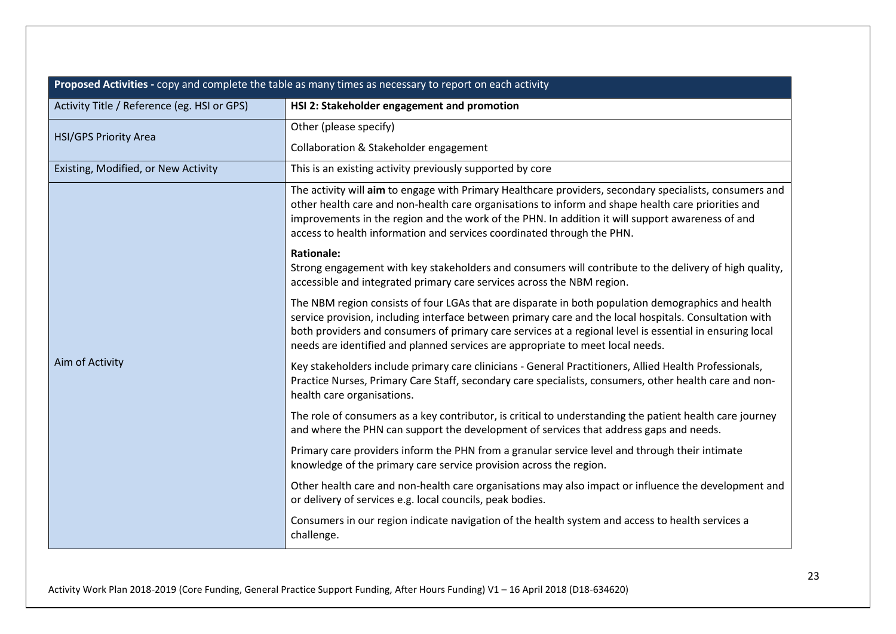| Proposed Activities - copy and complete the table as many times as necessary to report on each activity |                                                                                                                                                                                                                                                                                                                                                                                                            |
|---------------------------------------------------------------------------------------------------------|------------------------------------------------------------------------------------------------------------------------------------------------------------------------------------------------------------------------------------------------------------------------------------------------------------------------------------------------------------------------------------------------------------|
| Activity Title / Reference (eg. HSI or GPS)                                                             | HSI 2: Stakeholder engagement and promotion                                                                                                                                                                                                                                                                                                                                                                |
| <b>HSI/GPS Priority Area</b>                                                                            | Other (please specify)                                                                                                                                                                                                                                                                                                                                                                                     |
|                                                                                                         | Collaboration & Stakeholder engagement                                                                                                                                                                                                                                                                                                                                                                     |
| Existing, Modified, or New Activity                                                                     | This is an existing activity previously supported by core                                                                                                                                                                                                                                                                                                                                                  |
| Aim of Activity                                                                                         | The activity will aim to engage with Primary Healthcare providers, secondary specialists, consumers and<br>other health care and non-health care organisations to inform and shape health care priorities and<br>improvements in the region and the work of the PHN. In addition it will support awareness of and<br>access to health information and services coordinated through the PHN.                |
|                                                                                                         | <b>Rationale:</b><br>Strong engagement with key stakeholders and consumers will contribute to the delivery of high quality,<br>accessible and integrated primary care services across the NBM region.                                                                                                                                                                                                      |
|                                                                                                         | The NBM region consists of four LGAs that are disparate in both population demographics and health<br>service provision, including interface between primary care and the local hospitals. Consultation with<br>both providers and consumers of primary care services at a regional level is essential in ensuring local<br>needs are identified and planned services are appropriate to meet local needs. |
|                                                                                                         | Key stakeholders include primary care clinicians - General Practitioners, Allied Health Professionals,<br>Practice Nurses, Primary Care Staff, secondary care specialists, consumers, other health care and non-<br>health care organisations.                                                                                                                                                             |
|                                                                                                         | The role of consumers as a key contributor, is critical to understanding the patient health care journey<br>and where the PHN can support the development of services that address gaps and needs.                                                                                                                                                                                                         |
|                                                                                                         | Primary care providers inform the PHN from a granular service level and through their intimate<br>knowledge of the primary care service provision across the region.                                                                                                                                                                                                                                       |
|                                                                                                         | Other health care and non-health care organisations may also impact or influence the development and<br>or delivery of services e.g. local councils, peak bodies.                                                                                                                                                                                                                                          |
|                                                                                                         | Consumers in our region indicate navigation of the health system and access to health services a<br>challenge.                                                                                                                                                                                                                                                                                             |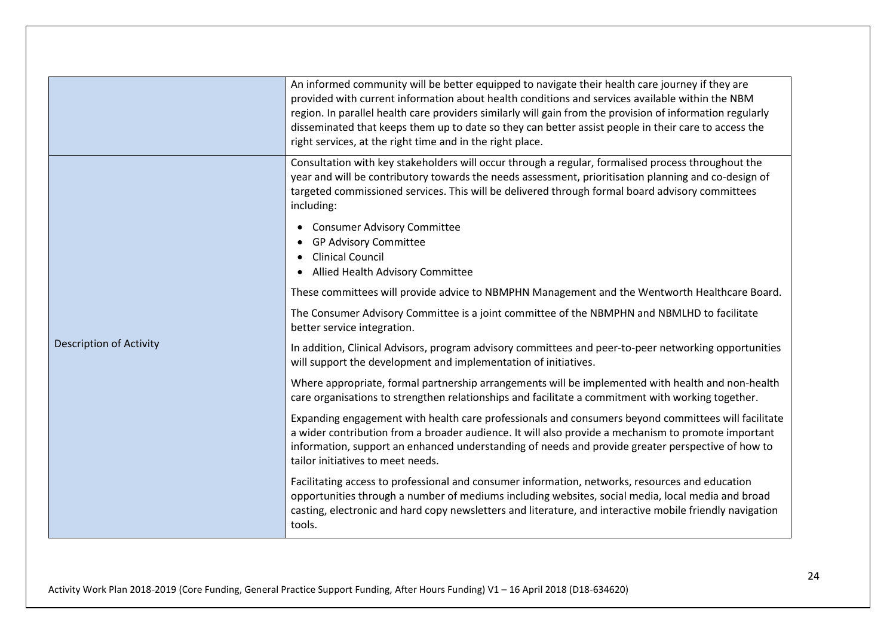|                                | An informed community will be better equipped to navigate their health care journey if they are<br>provided with current information about health conditions and services available within the NBM<br>region. In parallel health care providers similarly will gain from the provision of information regularly<br>disseminated that keeps them up to date so they can better assist people in their care to access the<br>right services, at the right time and in the right place. |
|--------------------------------|--------------------------------------------------------------------------------------------------------------------------------------------------------------------------------------------------------------------------------------------------------------------------------------------------------------------------------------------------------------------------------------------------------------------------------------------------------------------------------------|
| <b>Description of Activity</b> | Consultation with key stakeholders will occur through a regular, formalised process throughout the<br>year and will be contributory towards the needs assessment, prioritisation planning and co-design of<br>targeted commissioned services. This will be delivered through formal board advisory committees<br>including:<br><b>Consumer Advisory Committee</b>                                                                                                                    |
|                                | <b>GP Advisory Committee</b><br><b>Clinical Council</b><br>Allied Health Advisory Committee                                                                                                                                                                                                                                                                                                                                                                                          |
|                                | These committees will provide advice to NBMPHN Management and the Wentworth Healthcare Board.                                                                                                                                                                                                                                                                                                                                                                                        |
|                                | The Consumer Advisory Committee is a joint committee of the NBMPHN and NBMLHD to facilitate<br>better service integration.                                                                                                                                                                                                                                                                                                                                                           |
|                                | In addition, Clinical Advisors, program advisory committees and peer-to-peer networking opportunities<br>will support the development and implementation of initiatives.                                                                                                                                                                                                                                                                                                             |
|                                | Where appropriate, formal partnership arrangements will be implemented with health and non-health<br>care organisations to strengthen relationships and facilitate a commitment with working together.                                                                                                                                                                                                                                                                               |
|                                | Expanding engagement with health care professionals and consumers beyond committees will facilitate<br>a wider contribution from a broader audience. It will also provide a mechanism to promote important<br>information, support an enhanced understanding of needs and provide greater perspective of how to<br>tailor initiatives to meet needs.                                                                                                                                 |
|                                | Facilitating access to professional and consumer information, networks, resources and education<br>opportunities through a number of mediums including websites, social media, local media and broad<br>casting, electronic and hard copy newsletters and literature, and interactive mobile friendly navigation<br>tools.                                                                                                                                                           |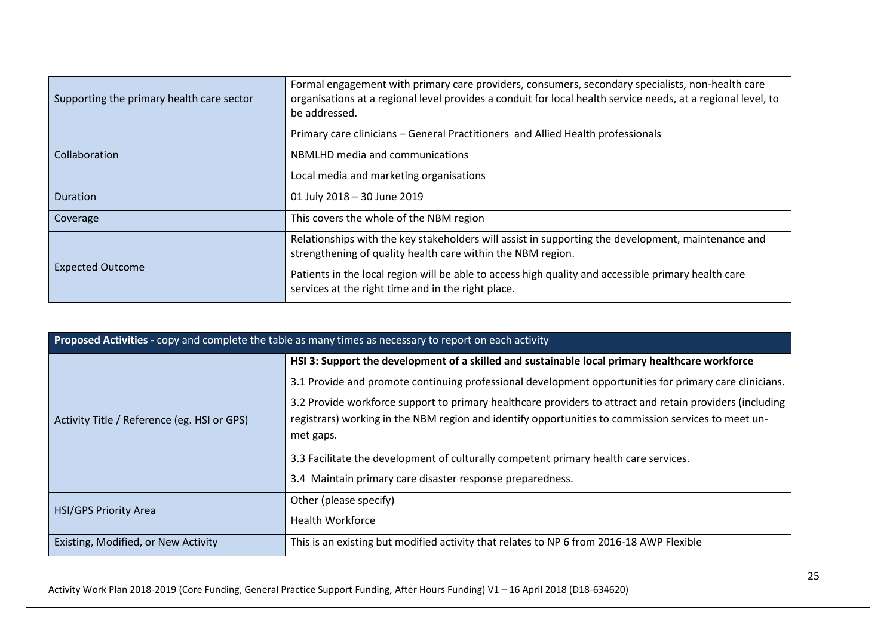| Supporting the primary health care sector | Formal engagement with primary care providers, consumers, secondary specialists, non-health care<br>organisations at a regional level provides a conduit for local health service needs, at a regional level, to<br>be addressed. |
|-------------------------------------------|-----------------------------------------------------------------------------------------------------------------------------------------------------------------------------------------------------------------------------------|
|                                           | Primary care clinicians – General Practitioners and Allied Health professionals                                                                                                                                                   |
| Collaboration                             | NBMLHD media and communications                                                                                                                                                                                                   |
|                                           | Local media and marketing organisations                                                                                                                                                                                           |
| <b>Duration</b>                           | 01 July 2018 - 30 June 2019                                                                                                                                                                                                       |
| Coverage                                  | This covers the whole of the NBM region                                                                                                                                                                                           |
| <b>Expected Outcome</b>                   | Relationships with the key stakeholders will assist in supporting the development, maintenance and<br>strengthening of quality health care within the NBM region.                                                                 |
|                                           | Patients in the local region will be able to access high quality and accessible primary health care<br>services at the right time and in the right place.                                                                         |

| Proposed Activities - copy and complete the table as many times as necessary to report on each activity |                                                                                                                                                                                                                                                                                                                                                                                                                             |
|---------------------------------------------------------------------------------------------------------|-----------------------------------------------------------------------------------------------------------------------------------------------------------------------------------------------------------------------------------------------------------------------------------------------------------------------------------------------------------------------------------------------------------------------------|
| Activity Title / Reference (eg. HSI or GPS)                                                             | HSI 3: Support the development of a skilled and sustainable local primary healthcare workforce<br>3.1 Provide and promote continuing professional development opportunities for primary care clinicians.<br>3.2 Provide workforce support to primary healthcare providers to attract and retain providers (including<br>registrars) working in the NBM region and identify opportunities to commission services to meet un- |
|                                                                                                         | met gaps.<br>3.3 Facilitate the development of culturally competent primary health care services.<br>3.4 Maintain primary care disaster response preparedness.                                                                                                                                                                                                                                                              |
| <b>HSI/GPS Priority Area</b>                                                                            | Other (please specify)<br><b>Health Workforce</b>                                                                                                                                                                                                                                                                                                                                                                           |
| Existing, Modified, or New Activity                                                                     | This is an existing but modified activity that relates to NP 6 from 2016-18 AWP Flexible                                                                                                                                                                                                                                                                                                                                    |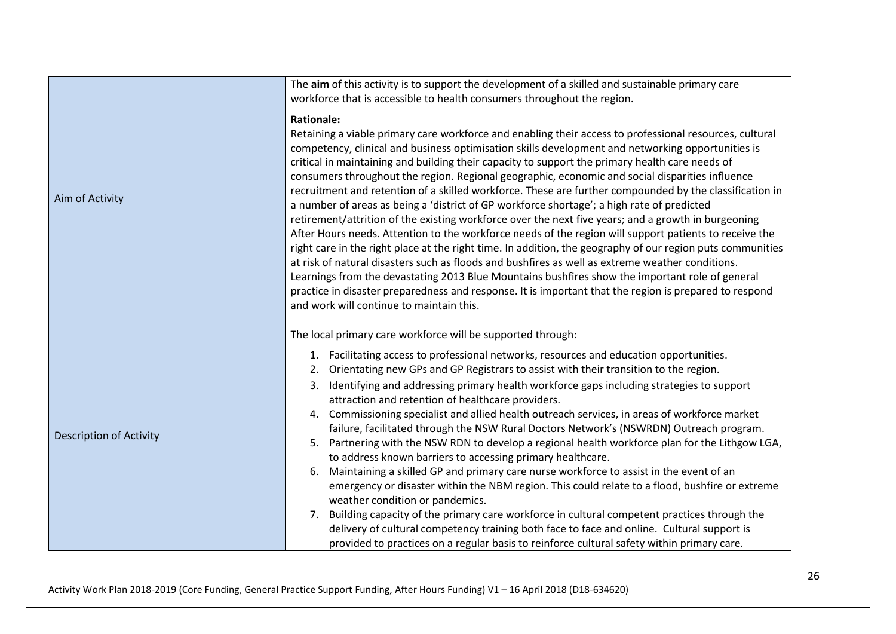| Aim of Activity                | The aim of this activity is to support the development of a skilled and sustainable primary care<br>workforce that is accessible to health consumers throughout the region.<br><b>Rationale:</b><br>Retaining a viable primary care workforce and enabling their access to professional resources, cultural<br>competency, clinical and business optimisation skills development and networking opportunities is<br>critical in maintaining and building their capacity to support the primary health care needs of<br>consumers throughout the region. Regional geographic, economic and social disparities influence<br>recruitment and retention of a skilled workforce. These are further compounded by the classification in<br>a number of areas as being a 'district of GP workforce shortage'; a high rate of predicted<br>retirement/attrition of the existing workforce over the next five years; and a growth in burgeoning<br>After Hours needs. Attention to the workforce needs of the region will support patients to receive the<br>right care in the right place at the right time. In addition, the geography of our region puts communities<br>at risk of natural disasters such as floods and bushfires as well as extreme weather conditions.<br>Learnings from the devastating 2013 Blue Mountains bushfires show the important role of general<br>practice in disaster preparedness and response. It is important that the region is prepared to respond<br>and work will continue to maintain this. |
|--------------------------------|-----------------------------------------------------------------------------------------------------------------------------------------------------------------------------------------------------------------------------------------------------------------------------------------------------------------------------------------------------------------------------------------------------------------------------------------------------------------------------------------------------------------------------------------------------------------------------------------------------------------------------------------------------------------------------------------------------------------------------------------------------------------------------------------------------------------------------------------------------------------------------------------------------------------------------------------------------------------------------------------------------------------------------------------------------------------------------------------------------------------------------------------------------------------------------------------------------------------------------------------------------------------------------------------------------------------------------------------------------------------------------------------------------------------------------------------------------------------------------------------------------------------------------|
| <b>Description of Activity</b> | The local primary care workforce will be supported through:<br>1. Facilitating access to professional networks, resources and education opportunities.<br>Orientating new GPs and GP Registrars to assist with their transition to the region.<br>2.<br>3. Identifying and addressing primary health workforce gaps including strategies to support<br>attraction and retention of healthcare providers.<br>4. Commissioning specialist and allied health outreach services, in areas of workforce market<br>failure, facilitated through the NSW Rural Doctors Network's (NSWRDN) Outreach program.<br>5. Partnering with the NSW RDN to develop a regional health workforce plan for the Lithgow LGA,<br>to address known barriers to accessing primary healthcare.<br>6. Maintaining a skilled GP and primary care nurse workforce to assist in the event of an<br>emergency or disaster within the NBM region. This could relate to a flood, bushfire or extreme<br>weather condition or pandemics.<br>7. Building capacity of the primary care workforce in cultural competent practices through the<br>delivery of cultural competency training both face to face and online. Cultural support is<br>provided to practices on a regular basis to reinforce cultural safety within primary care.                                                                                                                                                                                                                       |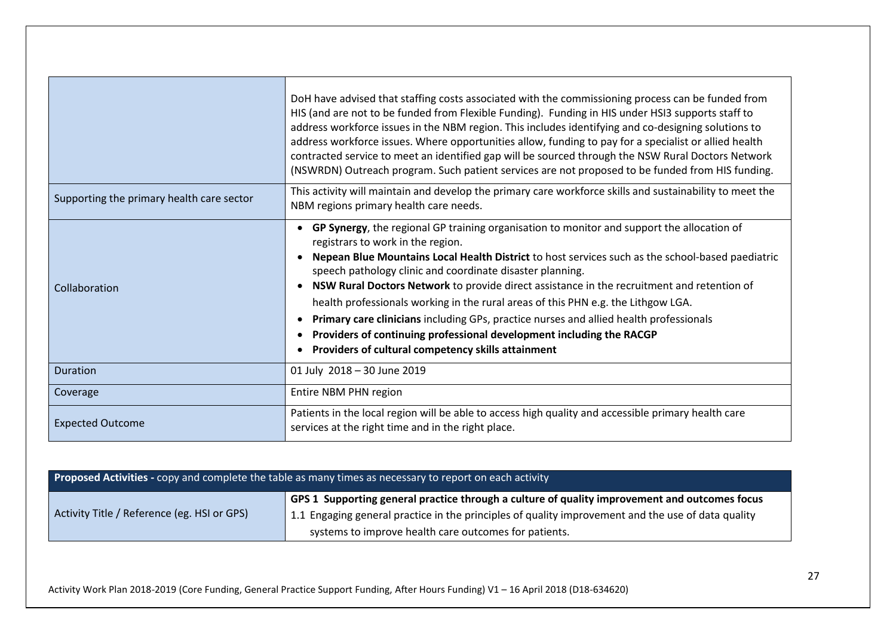|                                           | DoH have advised that staffing costs associated with the commissioning process can be funded from<br>HIS (and are not to be funded from Flexible Funding). Funding in HIS under HSI3 supports staff to<br>address workforce issues in the NBM region. This includes identifying and co-designing solutions to<br>address workforce issues. Where opportunities allow, funding to pay for a specialist or allied health<br>contracted service to meet an identified gap will be sourced through the NSW Rural Doctors Network<br>(NSWRDN) Outreach program. Such patient services are not proposed to be funded from HIS funding.                                                                                         |
|-------------------------------------------|--------------------------------------------------------------------------------------------------------------------------------------------------------------------------------------------------------------------------------------------------------------------------------------------------------------------------------------------------------------------------------------------------------------------------------------------------------------------------------------------------------------------------------------------------------------------------------------------------------------------------------------------------------------------------------------------------------------------------|
| Supporting the primary health care sector | This activity will maintain and develop the primary care workforce skills and sustainability to meet the<br>NBM regions primary health care needs.                                                                                                                                                                                                                                                                                                                                                                                                                                                                                                                                                                       |
| Collaboration                             | GP Synergy, the regional GP training organisation to monitor and support the allocation of<br>registrars to work in the region.<br>Nepean Blue Mountains Local Health District to host services such as the school-based paediatric<br>speech pathology clinic and coordinate disaster planning.<br>NSW Rural Doctors Network to provide direct assistance in the recruitment and retention of<br>health professionals working in the rural areas of this PHN e.g. the Lithgow LGA.<br>Primary care clinicians including GPs, practice nurses and allied health professionals<br>$\bullet$<br>Providers of continuing professional development including the RACGP<br>Providers of cultural competency skills attainment |
| <b>Duration</b>                           | 01 July 2018 - 30 June 2019                                                                                                                                                                                                                                                                                                                                                                                                                                                                                                                                                                                                                                                                                              |
| Coverage                                  | Entire NBM PHN region                                                                                                                                                                                                                                                                                                                                                                                                                                                                                                                                                                                                                                                                                                    |
| <b>Expected Outcome</b>                   | Patients in the local region will be able to access high quality and accessible primary health care<br>services at the right time and in the right place.                                                                                                                                                                                                                                                                                                                                                                                                                                                                                                                                                                |

| <b>Proposed Activities</b> - copy and complete the table as many times as necessary to report on each activity |                                                                                                                                                                                                                                                              |
|----------------------------------------------------------------------------------------------------------------|--------------------------------------------------------------------------------------------------------------------------------------------------------------------------------------------------------------------------------------------------------------|
| Activity Title / Reference (eg. HSI or GPS)                                                                    | GPS 1 Supporting general practice through a culture of quality improvement and outcomes focus<br>1.1 Engaging general practice in the principles of quality improvement and the use of data quality<br>systems to improve health care outcomes for patients. |

Activity Work Plan 2018-2019 (Core Funding, General Practice Support Funding, After Hours Funding) V1 – 16 April 2018 (D18-634620)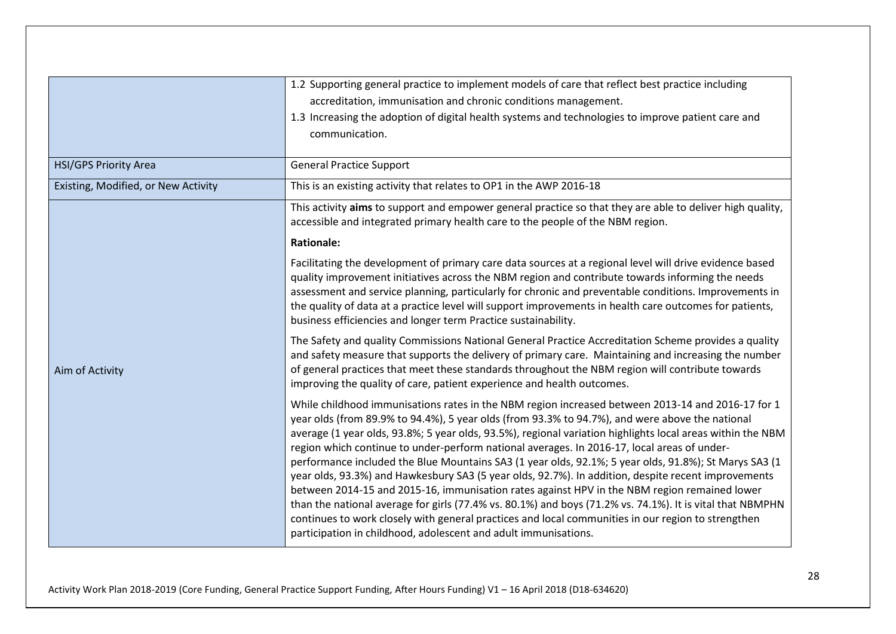|                                     | 1.2 Supporting general practice to implement models of care that reflect best practice including<br>accreditation, immunisation and chronic conditions management.<br>1.3 Increasing the adoption of digital health systems and technologies to improve patient care and<br>communication.                                                                                                                                                                                                                                                                                                                                                                                                                                                                                                                                                                                                                                                                                                                              |
|-------------------------------------|-------------------------------------------------------------------------------------------------------------------------------------------------------------------------------------------------------------------------------------------------------------------------------------------------------------------------------------------------------------------------------------------------------------------------------------------------------------------------------------------------------------------------------------------------------------------------------------------------------------------------------------------------------------------------------------------------------------------------------------------------------------------------------------------------------------------------------------------------------------------------------------------------------------------------------------------------------------------------------------------------------------------------|
| <b>HSI/GPS Priority Area</b>        | <b>General Practice Support</b>                                                                                                                                                                                                                                                                                                                                                                                                                                                                                                                                                                                                                                                                                                                                                                                                                                                                                                                                                                                         |
| Existing, Modified, or New Activity | This is an existing activity that relates to OP1 in the AWP 2016-18                                                                                                                                                                                                                                                                                                                                                                                                                                                                                                                                                                                                                                                                                                                                                                                                                                                                                                                                                     |
|                                     | This activity aims to support and empower general practice so that they are able to deliver high quality,<br>accessible and integrated primary health care to the people of the NBM region.                                                                                                                                                                                                                                                                                                                                                                                                                                                                                                                                                                                                                                                                                                                                                                                                                             |
|                                     | <b>Rationale:</b>                                                                                                                                                                                                                                                                                                                                                                                                                                                                                                                                                                                                                                                                                                                                                                                                                                                                                                                                                                                                       |
|                                     | Facilitating the development of primary care data sources at a regional level will drive evidence based<br>quality improvement initiatives across the NBM region and contribute towards informing the needs<br>assessment and service planning, particularly for chronic and preventable conditions. Improvements in<br>the quality of data at a practice level will support improvements in health care outcomes for patients,<br>business efficiencies and longer term Practice sustainability.                                                                                                                                                                                                                                                                                                                                                                                                                                                                                                                       |
| Aim of Activity                     | The Safety and quality Commissions National General Practice Accreditation Scheme provides a quality<br>and safety measure that supports the delivery of primary care. Maintaining and increasing the number<br>of general practices that meet these standards throughout the NBM region will contribute towards<br>improving the quality of care, patient experience and health outcomes.                                                                                                                                                                                                                                                                                                                                                                                                                                                                                                                                                                                                                              |
|                                     | While childhood immunisations rates in the NBM region increased between 2013-14 and 2016-17 for 1<br>year olds (from 89.9% to 94.4%), 5 year olds (from 93.3% to 94.7%), and were above the national<br>average (1 year olds, 93.8%; 5 year olds, 93.5%), regional variation highlights local areas within the NBM<br>region which continue to under-perform national averages. In 2016-17, local areas of under-<br>performance included the Blue Mountains SA3 (1 year olds, 92.1%; 5 year olds, 91.8%); St Marys SA3 (1<br>year olds, 93.3%) and Hawkesbury SA3 (5 year olds, 92.7%). In addition, despite recent improvements<br>between 2014-15 and 2015-16, immunisation rates against HPV in the NBM region remained lower<br>than the national average for girls (77.4% vs. 80.1%) and boys (71.2% vs. 74.1%). It is vital that NBMPHN<br>continues to work closely with general practices and local communities in our region to strengthen<br>participation in childhood, adolescent and adult immunisations. |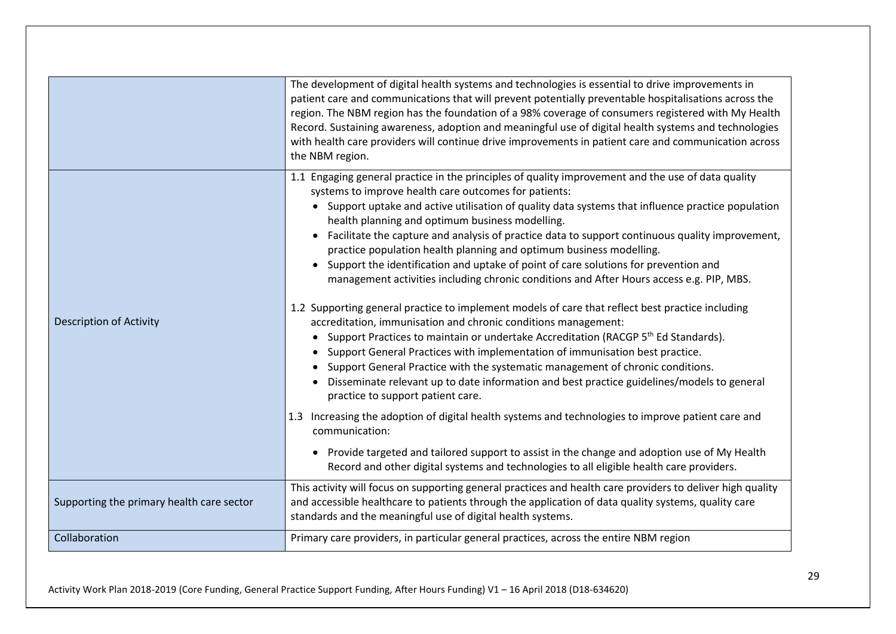|                                           | The development of digital health systems and technologies is essential to drive improvements in<br>patient care and communications that will prevent potentially preventable hospitalisations across the<br>region. The NBM region has the foundation of a 98% coverage of consumers registered with My Health<br>Record. Sustaining awareness, adoption and meaningful use of digital health systems and technologies<br>with health care providers will continue drive improvements in patient care and communication across<br>the NBM region.                                                                                                                                                                                                                                                                                                                                                                                                                                                                                                                                                                                                                                                                                                                                                                                                                                                                                                                                                                                                                                             |
|-------------------------------------------|------------------------------------------------------------------------------------------------------------------------------------------------------------------------------------------------------------------------------------------------------------------------------------------------------------------------------------------------------------------------------------------------------------------------------------------------------------------------------------------------------------------------------------------------------------------------------------------------------------------------------------------------------------------------------------------------------------------------------------------------------------------------------------------------------------------------------------------------------------------------------------------------------------------------------------------------------------------------------------------------------------------------------------------------------------------------------------------------------------------------------------------------------------------------------------------------------------------------------------------------------------------------------------------------------------------------------------------------------------------------------------------------------------------------------------------------------------------------------------------------------------------------------------------------------------------------------------------------|
| <b>Description of Activity</b>            | 1.1 Engaging general practice in the principles of quality improvement and the use of data quality<br>systems to improve health care outcomes for patients:<br>• Support uptake and active utilisation of quality data systems that influence practice population<br>health planning and optimum business modelling.<br>Facilitate the capture and analysis of practice data to support continuous quality improvement,<br>practice population health planning and optimum business modelling.<br>Support the identification and uptake of point of care solutions for prevention and<br>management activities including chronic conditions and After Hours access e.g. PIP, MBS.<br>1.2 Supporting general practice to implement models of care that reflect best practice including<br>accreditation, immunisation and chronic conditions management:<br>Support Practices to maintain or undertake Accreditation (RACGP 5 <sup>th</sup> Ed Standards).<br>Support General Practices with implementation of immunisation best practice.<br>Support General Practice with the systematic management of chronic conditions.<br>Disseminate relevant up to date information and best practice guidelines/models to general<br>practice to support patient care.<br>1.3 Increasing the adoption of digital health systems and technologies to improve patient care and<br>communication:<br>Provide targeted and tailored support to assist in the change and adoption use of My Health<br>$\bullet$<br>Record and other digital systems and technologies to all eligible health care providers. |
| Supporting the primary health care sector | This activity will focus on supporting general practices and health care providers to deliver high quality<br>and accessible healthcare to patients through the application of data quality systems, quality care<br>standards and the meaningful use of digital health systems.                                                                                                                                                                                                                                                                                                                                                                                                                                                                                                                                                                                                                                                                                                                                                                                                                                                                                                                                                                                                                                                                                                                                                                                                                                                                                                               |
| Collaboration                             | Primary care providers, in particular general practices, across the entire NBM region                                                                                                                                                                                                                                                                                                                                                                                                                                                                                                                                                                                                                                                                                                                                                                                                                                                                                                                                                                                                                                                                                                                                                                                                                                                                                                                                                                                                                                                                                                          |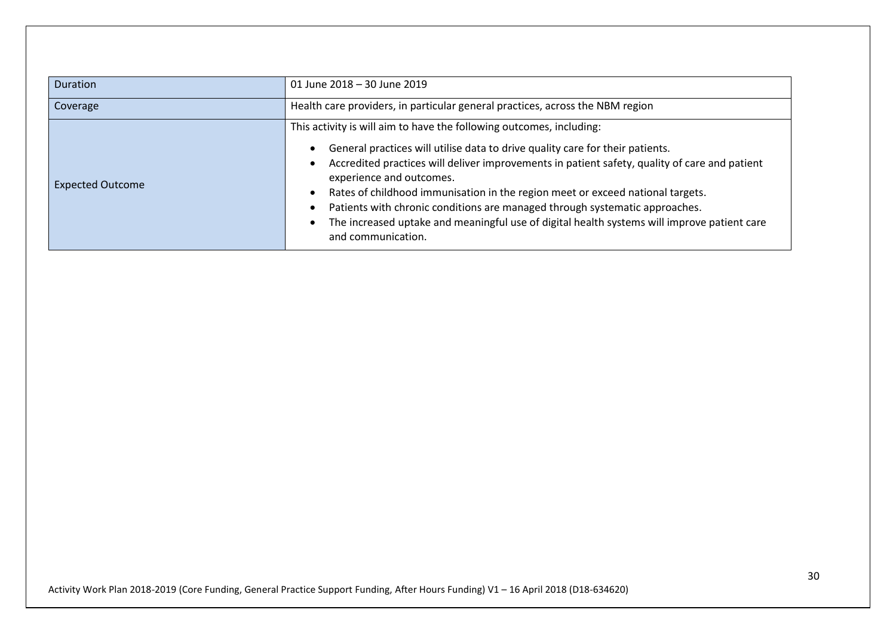| <b>Duration</b>         | 01 June 2018 - 30 June 2019                                                                                                                                                                                                                                                                                                                                                                                                                                                                                                                  |
|-------------------------|----------------------------------------------------------------------------------------------------------------------------------------------------------------------------------------------------------------------------------------------------------------------------------------------------------------------------------------------------------------------------------------------------------------------------------------------------------------------------------------------------------------------------------------------|
| Coverage                | Health care providers, in particular general practices, across the NBM region                                                                                                                                                                                                                                                                                                                                                                                                                                                                |
|                         | This activity is will aim to have the following outcomes, including:                                                                                                                                                                                                                                                                                                                                                                                                                                                                         |
| <b>Expected Outcome</b> | General practices will utilise data to drive quality care for their patients.<br>$\bullet$<br>Accredited practices will deliver improvements in patient safety, quality of care and patient<br>$\bullet$<br>experience and outcomes.<br>Rates of childhood immunisation in the region meet or exceed national targets.<br>$\bullet$<br>Patients with chronic conditions are managed through systematic approaches.<br>٠<br>The increased uptake and meaningful use of digital health systems will improve patient care<br>and communication. |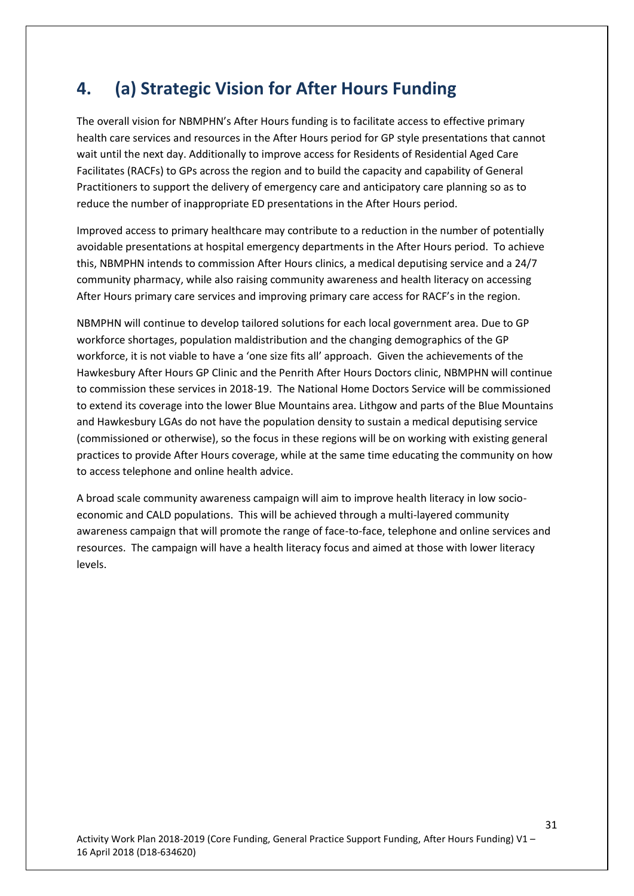#### **4. (a) Strategic Vision for After Hours Funding**

The overall vision for NBMPHN's After Hours funding is to facilitate access to effective primary health care services and resources in the After Hours period for GP style presentations that cannot wait until the next day. Additionally to improve access for Residents of Residential Aged Care Facilitates (RACFs) to GPs across the region and to build the capacity and capability of General Practitioners to support the delivery of emergency care and anticipatory care planning so as to reduce the number of inappropriate ED presentations in the After Hours period.

Improved access to primary healthcare may contribute to a reduction in the number of potentially avoidable presentations at hospital emergency departments in the After Hours period. To achieve this, NBMPHN intends to commission After Hours clinics, a medical deputising service and a 24/7 community pharmacy, while also raising community awareness and health literacy on accessing After Hours primary care services and improving primary care access for RACF's in the region.

NBMPHN will continue to develop tailored solutions for each local government area. Due to GP workforce shortages, population maldistribution and the changing demographics of the GP workforce, it is not viable to have a 'one size fits all' approach. Given the achievements of the Hawkesbury After Hours GP Clinic and the Penrith After Hours Doctors clinic, NBMPHN will continue to commission these services in 2018-19. The National Home Doctors Service will be commissioned to extend its coverage into the lower Blue Mountains area. Lithgow and parts of the Blue Mountains and Hawkesbury LGAs do not have the population density to sustain a medical deputising service (commissioned or otherwise), so the focus in these regions will be on working with existing general practices to provide After Hours coverage, while at the same time educating the community on how to access telephone and online health advice.

A broad scale community awareness campaign will aim to improve health literacy in low socioeconomic and CALD populations. This will be achieved through a multi-layered community awareness campaign that will promote the range of face-to-face, telephone and online services and resources. The campaign will have a health literacy focus and aimed at those with lower literacy levels.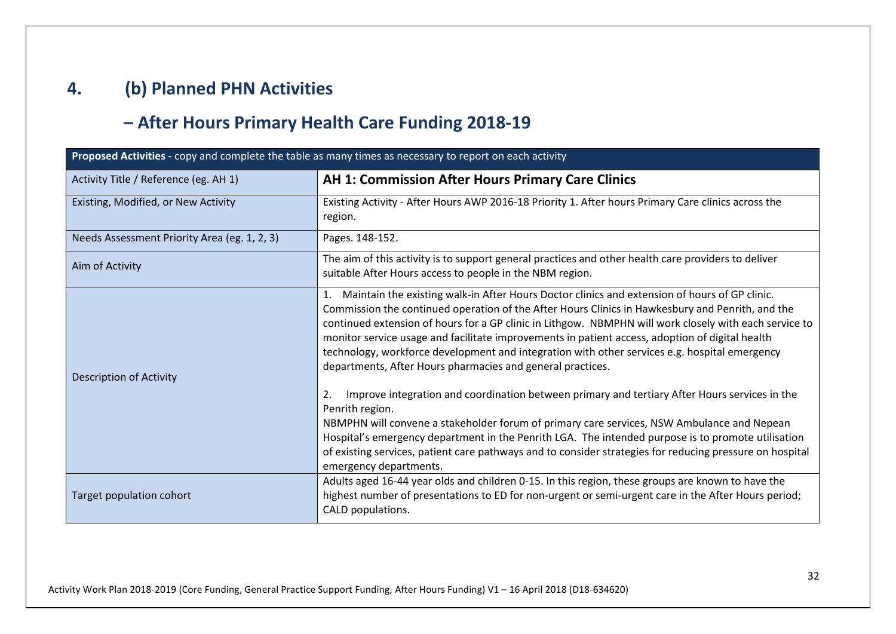# **4. (b) Planned PHN Activities**

# **– After Hours Primary Health Care Funding 2018-19**

| Proposed Activities - copy and complete the table as many times as necessary to report on each activity |                                                                                                                                                                                                                                                                                                                                                                                                                                                                                                                                                                                  |
|---------------------------------------------------------------------------------------------------------|----------------------------------------------------------------------------------------------------------------------------------------------------------------------------------------------------------------------------------------------------------------------------------------------------------------------------------------------------------------------------------------------------------------------------------------------------------------------------------------------------------------------------------------------------------------------------------|
| Activity Title / Reference (eg. AH 1)                                                                   | <b>AH 1: Commission After Hours Primary Care Clinics</b>                                                                                                                                                                                                                                                                                                                                                                                                                                                                                                                         |
| Existing, Modified, or New Activity                                                                     | Existing Activity - After Hours AWP 2016-18 Priority 1. After hours Primary Care clinics across the<br>region.                                                                                                                                                                                                                                                                                                                                                                                                                                                                   |
| Needs Assessment Priority Area (eg. 1, 2, 3)                                                            | Pages. 148-152.                                                                                                                                                                                                                                                                                                                                                                                                                                                                                                                                                                  |
| Aim of Activity                                                                                         | The aim of this activity is to support general practices and other health care providers to deliver<br>suitable After Hours access to people in the NBM region.                                                                                                                                                                                                                                                                                                                                                                                                                  |
| Description of Activity                                                                                 | 1. Maintain the existing walk-in After Hours Doctor clinics and extension of hours of GP clinic.<br>Commission the continued operation of the After Hours Clinics in Hawkesbury and Penrith, and the<br>continued extension of hours for a GP clinic in Lithgow. NBMPHN will work closely with each service to<br>monitor service usage and facilitate improvements in patient access, adoption of digital health<br>technology, workforce development and integration with other services e.g. hospital emergency<br>departments, After Hours pharmacies and general practices. |
|                                                                                                         | Improve integration and coordination between primary and tertiary After Hours services in the<br>2.<br>Penrith region.<br>NBMPHN will convene a stakeholder forum of primary care services, NSW Ambulance and Nepean<br>Hospital's emergency department in the Penrith LGA. The intended purpose is to promote utilisation<br>of existing services, patient care pathways and to consider strategies for reducing pressure on hospital<br>emergency departments.                                                                                                                 |
| Target population cohort                                                                                | Adults aged 16-44 year olds and children 0-15. In this region, these groups are known to have the<br>highest number of presentations to ED for non-urgent or semi-urgent care in the After Hours period;<br>CALD populations.                                                                                                                                                                                                                                                                                                                                                    |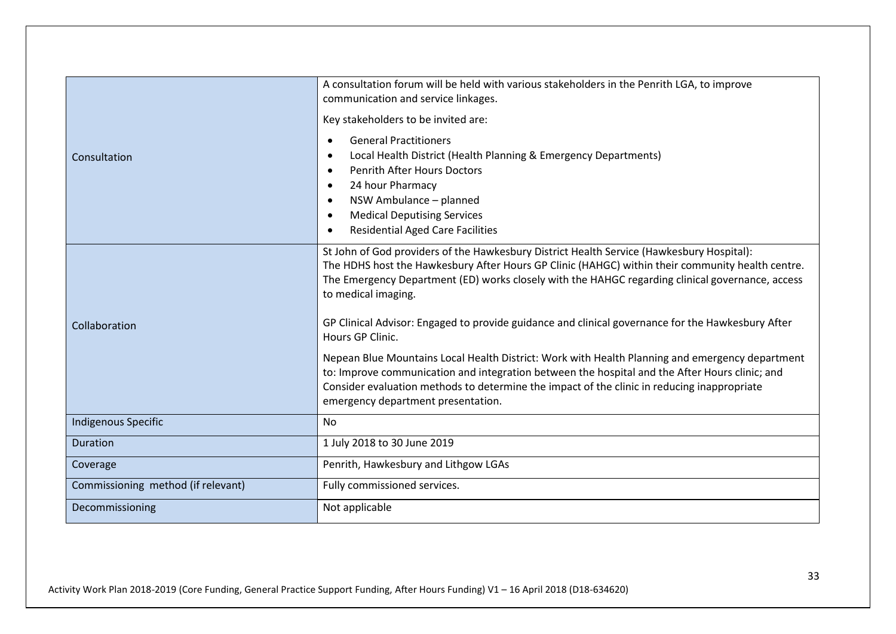|                                    | A consultation forum will be held with various stakeholders in the Penrith LGA, to improve<br>communication and service linkages.<br>Key stakeholders to be invited are:                                                                                                                                                                                                                                                                          |
|------------------------------------|---------------------------------------------------------------------------------------------------------------------------------------------------------------------------------------------------------------------------------------------------------------------------------------------------------------------------------------------------------------------------------------------------------------------------------------------------|
| Consultation                       | <b>General Practitioners</b><br>$\bullet$<br>Local Health District (Health Planning & Emergency Departments)<br>$\bullet$<br><b>Penrith After Hours Doctors</b><br>$\bullet$<br>24 hour Pharmacy<br>$\bullet$<br>NSW Ambulance - planned<br>$\bullet$<br><b>Medical Deputising Services</b><br>$\bullet$<br><b>Residential Aged Care Facilities</b><br>$\bullet$                                                                                  |
| Collaboration                      | St John of God providers of the Hawkesbury District Health Service (Hawkesbury Hospital):<br>The HDHS host the Hawkesbury After Hours GP Clinic (HAHGC) within their community health centre.<br>The Emergency Department (ED) works closely with the HAHGC regarding clinical governance, access<br>to medical imaging.<br>GP Clinical Advisor: Engaged to provide guidance and clinical governance for the Hawkesbury After<br>Hours GP Clinic. |
|                                    | Nepean Blue Mountains Local Health District: Work with Health Planning and emergency department<br>to: Improve communication and integration between the hospital and the After Hours clinic; and<br>Consider evaluation methods to determine the impact of the clinic in reducing inappropriate<br>emergency department presentation.                                                                                                            |
| <b>Indigenous Specific</b>         | No                                                                                                                                                                                                                                                                                                                                                                                                                                                |
| Duration                           | 1 July 2018 to 30 June 2019                                                                                                                                                                                                                                                                                                                                                                                                                       |
| Coverage                           | Penrith, Hawkesbury and Lithgow LGAs                                                                                                                                                                                                                                                                                                                                                                                                              |
| Commissioning method (if relevant) | Fully commissioned services.                                                                                                                                                                                                                                                                                                                                                                                                                      |
| Decommissioning                    | Not applicable                                                                                                                                                                                                                                                                                                                                                                                                                                    |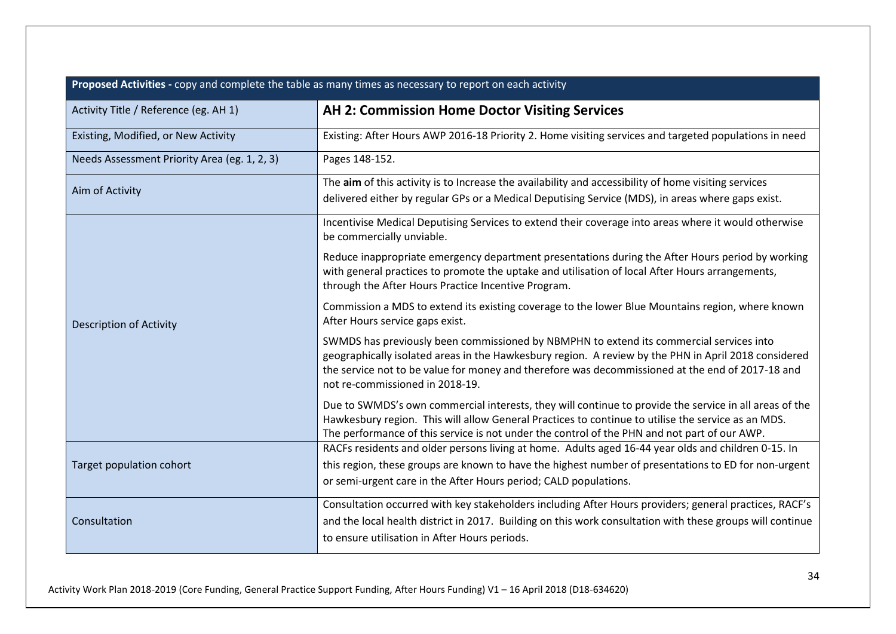| Proposed Activities - copy and complete the table as many times as necessary to report on each activity |                                                                                                                                                                                                                                                                                                                                        |
|---------------------------------------------------------------------------------------------------------|----------------------------------------------------------------------------------------------------------------------------------------------------------------------------------------------------------------------------------------------------------------------------------------------------------------------------------------|
| Activity Title / Reference (eg. AH 1)                                                                   | <b>AH 2: Commission Home Doctor Visiting Services</b>                                                                                                                                                                                                                                                                                  |
| Existing, Modified, or New Activity                                                                     | Existing: After Hours AWP 2016-18 Priority 2. Home visiting services and targeted populations in need                                                                                                                                                                                                                                  |
| Needs Assessment Priority Area (eg. 1, 2, 3)                                                            | Pages 148-152.                                                                                                                                                                                                                                                                                                                         |
| Aim of Activity                                                                                         | The aim of this activity is to Increase the availability and accessibility of home visiting services<br>delivered either by regular GPs or a Medical Deputising Service (MDS), in areas where gaps exist.                                                                                                                              |
|                                                                                                         | Incentivise Medical Deputising Services to extend their coverage into areas where it would otherwise<br>be commercially unviable.                                                                                                                                                                                                      |
| <b>Description of Activity</b>                                                                          | Reduce inappropriate emergency department presentations during the After Hours period by working<br>with general practices to promote the uptake and utilisation of local After Hours arrangements,<br>through the After Hours Practice Incentive Program.                                                                             |
|                                                                                                         | Commission a MDS to extend its existing coverage to the lower Blue Mountains region, where known<br>After Hours service gaps exist.                                                                                                                                                                                                    |
|                                                                                                         | SWMDS has previously been commissioned by NBMPHN to extend its commercial services into<br>geographically isolated areas in the Hawkesbury region. A review by the PHN in April 2018 considered<br>the service not to be value for money and therefore was decommissioned at the end of 2017-18 and<br>not re-commissioned in 2018-19. |
|                                                                                                         | Due to SWMDS's own commercial interests, they will continue to provide the service in all areas of the<br>Hawkesbury region. This will allow General Practices to continue to utilise the service as an MDS.<br>The performance of this service is not under the control of the PHN and not part of our AWP.                           |
| Target population cohort                                                                                | RACFs residents and older persons living at home. Adults aged 16-44 year olds and children 0-15. In<br>this region, these groups are known to have the highest number of presentations to ED for non-urgent<br>or semi-urgent care in the After Hours period; CALD populations.                                                        |
| Consultation                                                                                            | Consultation occurred with key stakeholders including After Hours providers; general practices, RACF's<br>and the local health district in 2017. Building on this work consultation with these groups will continue<br>to ensure utilisation in After Hours periods.                                                                   |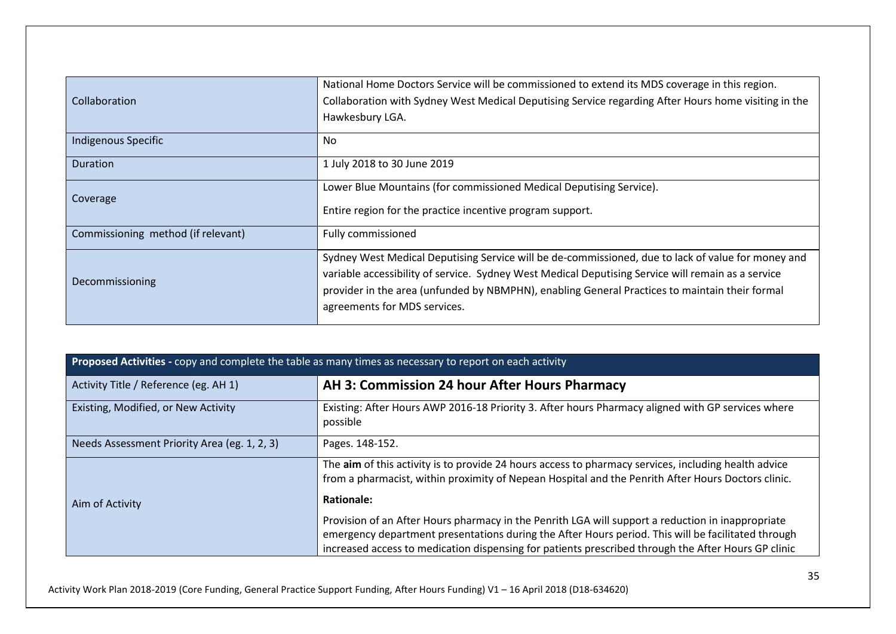| Collaboration                      | National Home Doctors Service will be commissioned to extend its MDS coverage in this region.<br>Collaboration with Sydney West Medical Deputising Service regarding After Hours home visiting in the<br>Hawkesbury LGA.                                                                                                                   |
|------------------------------------|--------------------------------------------------------------------------------------------------------------------------------------------------------------------------------------------------------------------------------------------------------------------------------------------------------------------------------------------|
| Indigenous Specific                | No.                                                                                                                                                                                                                                                                                                                                        |
| Duration                           | 1 July 2018 to 30 June 2019                                                                                                                                                                                                                                                                                                                |
| Coverage                           | Lower Blue Mountains (for commissioned Medical Deputising Service).<br>Entire region for the practice incentive program support.                                                                                                                                                                                                           |
| Commissioning method (if relevant) | Fully commissioned                                                                                                                                                                                                                                                                                                                         |
| Decommissioning                    | Sydney West Medical Deputising Service will be de-commissioned, due to lack of value for money and<br>variable accessibility of service. Sydney West Medical Deputising Service will remain as a service<br>provider in the area (unfunded by NBMPHN), enabling General Practices to maintain their formal<br>agreements for MDS services. |

| Proposed Activities - copy and complete the table as many times as necessary to report on each activity |                                                                                                                                                                                                                                                                                                                |
|---------------------------------------------------------------------------------------------------------|----------------------------------------------------------------------------------------------------------------------------------------------------------------------------------------------------------------------------------------------------------------------------------------------------------------|
| Activity Title / Reference (eg. AH 1)                                                                   | AH 3: Commission 24 hour After Hours Pharmacy                                                                                                                                                                                                                                                                  |
| Existing, Modified, or New Activity                                                                     | Existing: After Hours AWP 2016-18 Priority 3. After hours Pharmacy aligned with GP services where<br>possible                                                                                                                                                                                                  |
| Needs Assessment Priority Area (eg. 1, 2, 3)                                                            | Pages. 148-152.                                                                                                                                                                                                                                                                                                |
|                                                                                                         | The aim of this activity is to provide 24 hours access to pharmacy services, including health advice<br>from a pharmacist, within proximity of Nepean Hospital and the Penrith After Hours Doctors clinic.                                                                                                     |
| Aim of Activity                                                                                         | <b>Rationale:</b>                                                                                                                                                                                                                                                                                              |
|                                                                                                         | Provision of an After Hours pharmacy in the Penrith LGA will support a reduction in inappropriate<br>emergency department presentations during the After Hours period. This will be facilitated through<br>increased access to medication dispensing for patients prescribed through the After Hours GP clinic |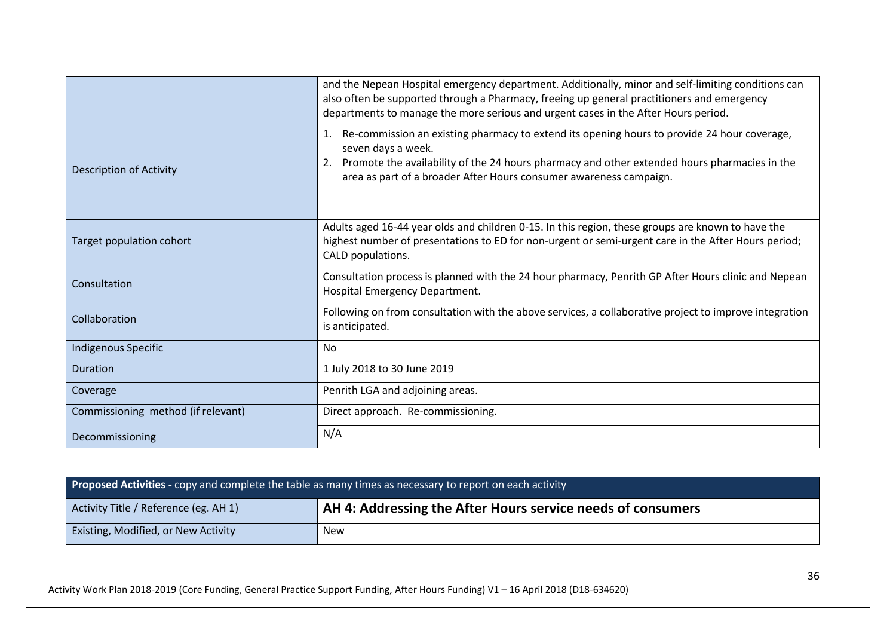|                                    | and the Nepean Hospital emergency department. Additionally, minor and self-limiting conditions can<br>also often be supported through a Pharmacy, freeing up general practitioners and emergency<br>departments to manage the more serious and urgent cases in the After Hours period.     |
|------------------------------------|--------------------------------------------------------------------------------------------------------------------------------------------------------------------------------------------------------------------------------------------------------------------------------------------|
| <b>Description of Activity</b>     | Re-commission an existing pharmacy to extend its opening hours to provide 24 hour coverage,<br>seven days a week.<br>2. Promote the availability of the 24 hours pharmacy and other extended hours pharmacies in the<br>area as part of a broader After Hours consumer awareness campaign. |
| Target population cohort           | Adults aged 16-44 year olds and children 0-15. In this region, these groups are known to have the<br>highest number of presentations to ED for non-urgent or semi-urgent care in the After Hours period;<br>CALD populations.                                                              |
| Consultation                       | Consultation process is planned with the 24 hour pharmacy, Penrith GP After Hours clinic and Nepean<br>Hospital Emergency Department.                                                                                                                                                      |
| Collaboration                      | Following on from consultation with the above services, a collaborative project to improve integration<br>is anticipated.                                                                                                                                                                  |
| Indigenous Specific                | No                                                                                                                                                                                                                                                                                         |
| <b>Duration</b>                    | 1 July 2018 to 30 June 2019                                                                                                                                                                                                                                                                |
| Coverage                           | Penrith LGA and adjoining areas.                                                                                                                                                                                                                                                           |
| Commissioning method (if relevant) | Direct approach. Re-commissioning.                                                                                                                                                                                                                                                         |
| Decommissioning                    | N/A                                                                                                                                                                                                                                                                                        |

| <b>Proposed Activities -</b> copy and complete the table as many times as necessary to report on each activity |                                                             |
|----------------------------------------------------------------------------------------------------------------|-------------------------------------------------------------|
| Activity Title / Reference (eg. AH 1)                                                                          | AH 4: Addressing the After Hours service needs of consumers |
| Existing, Modified, or New Activity                                                                            | <b>New</b>                                                  |

Activity Work Plan 2018-2019 (Core Funding, General Practice Support Funding, After Hours Funding) V1 – 16 April 2018 (D18-634620)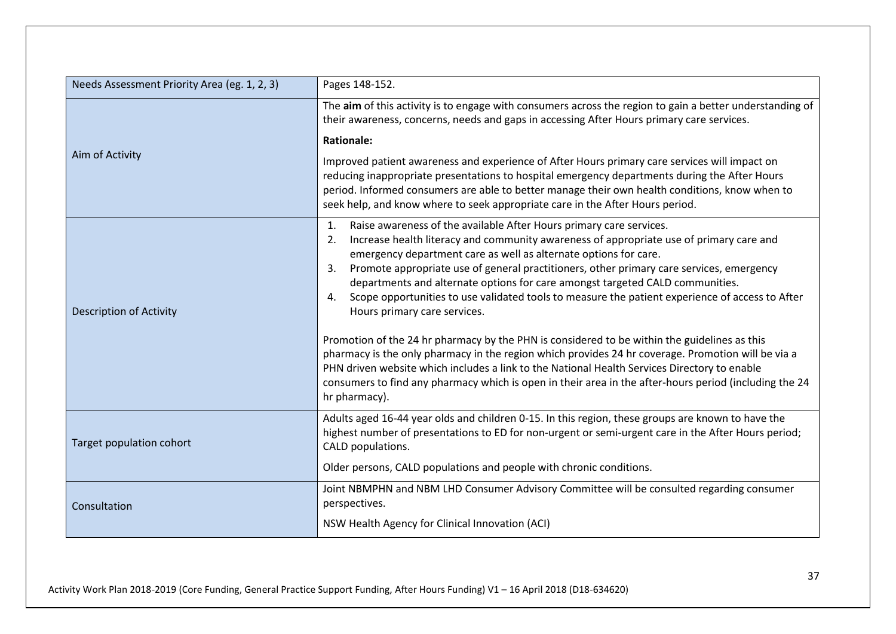| Needs Assessment Priority Area (eg. 1, 2, 3) | Pages 148-152.                                                                                                                                                                                                                                                                                                                                                                                                                |
|----------------------------------------------|-------------------------------------------------------------------------------------------------------------------------------------------------------------------------------------------------------------------------------------------------------------------------------------------------------------------------------------------------------------------------------------------------------------------------------|
|                                              | The aim of this activity is to engage with consumers across the region to gain a better understanding of<br>their awareness, concerns, needs and gaps in accessing After Hours primary care services.                                                                                                                                                                                                                         |
|                                              | <b>Rationale:</b>                                                                                                                                                                                                                                                                                                                                                                                                             |
| Aim of Activity                              | Improved patient awareness and experience of After Hours primary care services will impact on<br>reducing inappropriate presentations to hospital emergency departments during the After Hours<br>period. Informed consumers are able to better manage their own health conditions, know when to<br>seek help, and know where to seek appropriate care in the After Hours period.                                             |
|                                              | Raise awareness of the available After Hours primary care services.<br>1.<br>Increase health literacy and community awareness of appropriate use of primary care and<br>2.                                                                                                                                                                                                                                                    |
|                                              | emergency department care as well as alternate options for care.                                                                                                                                                                                                                                                                                                                                                              |
| <b>Description of Activity</b>               | Promote appropriate use of general practitioners, other primary care services, emergency<br>3.<br>departments and alternate options for care amongst targeted CALD communities.                                                                                                                                                                                                                                               |
|                                              | Scope opportunities to use validated tools to measure the patient experience of access to After<br>4.<br>Hours primary care services.                                                                                                                                                                                                                                                                                         |
|                                              | Promotion of the 24 hr pharmacy by the PHN is considered to be within the guidelines as this<br>pharmacy is the only pharmacy in the region which provides 24 hr coverage. Promotion will be via a<br>PHN driven website which includes a link to the National Health Services Directory to enable<br>consumers to find any pharmacy which is open in their area in the after-hours period (including the 24<br>hr pharmacy). |
| Target population cohort                     | Adults aged 16-44 year olds and children 0-15. In this region, these groups are known to have the<br>highest number of presentations to ED for non-urgent or semi-urgent care in the After Hours period;<br>CALD populations.                                                                                                                                                                                                 |
|                                              | Older persons, CALD populations and people with chronic conditions.                                                                                                                                                                                                                                                                                                                                                           |
| Consultation                                 | Joint NBMPHN and NBM LHD Consumer Advisory Committee will be consulted regarding consumer<br>perspectives.                                                                                                                                                                                                                                                                                                                    |
|                                              | NSW Health Agency for Clinical Innovation (ACI)                                                                                                                                                                                                                                                                                                                                                                               |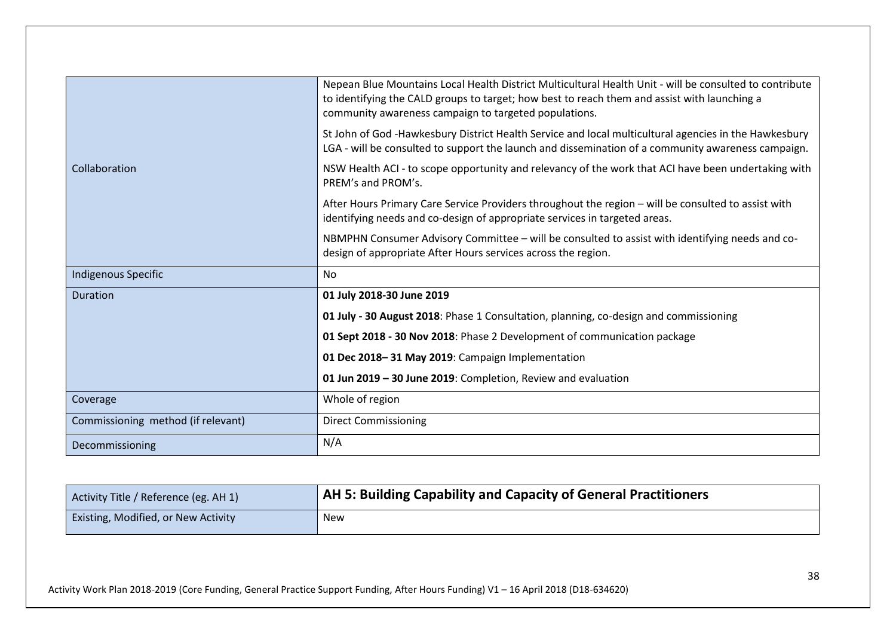|                                    | Nepean Blue Mountains Local Health District Multicultural Health Unit - will be consulted to contribute<br>to identifying the CALD groups to target; how best to reach them and assist with launching a<br>community awareness campaign to targeted populations. |
|------------------------------------|------------------------------------------------------------------------------------------------------------------------------------------------------------------------------------------------------------------------------------------------------------------|
|                                    | St John of God -Hawkesbury District Health Service and local multicultural agencies in the Hawkesbury<br>LGA - will be consulted to support the launch and dissemination of a community awareness campaign.                                                      |
| Collaboration                      | NSW Health ACI - to scope opportunity and relevancy of the work that ACI have been undertaking with<br>PRFM's and PROM's.                                                                                                                                        |
|                                    | After Hours Primary Care Service Providers throughout the region - will be consulted to assist with<br>identifying needs and co-design of appropriate services in targeted areas.                                                                                |
|                                    | NBMPHN Consumer Advisory Committee - will be consulted to assist with identifying needs and co-<br>design of appropriate After Hours services across the region.                                                                                                 |
| Indigenous Specific                | <b>No</b>                                                                                                                                                                                                                                                        |
| <b>Duration</b>                    | 01 July 2018-30 June 2019                                                                                                                                                                                                                                        |
|                                    | 01 July - 30 August 2018: Phase 1 Consultation, planning, co-design and commissioning                                                                                                                                                                            |
|                                    | 01 Sept 2018 - 30 Nov 2018: Phase 2 Development of communication package                                                                                                                                                                                         |
|                                    | 01 Dec 2018-31 May 2019: Campaign Implementation                                                                                                                                                                                                                 |
|                                    | 01 Jun 2019 - 30 June 2019: Completion, Review and evaluation                                                                                                                                                                                                    |
| Coverage                           | Whole of region                                                                                                                                                                                                                                                  |
| Commissioning method (if relevant) | <b>Direct Commissioning</b>                                                                                                                                                                                                                                      |
| Decommissioning                    | N/A                                                                                                                                                                                                                                                              |

| Activity Title / Reference (eg. AH 1) | A AH 5: Building Capability and Capacity of General Practitioners |
|---------------------------------------|-------------------------------------------------------------------|
| Existing, Modified, or New Activity   | New                                                               |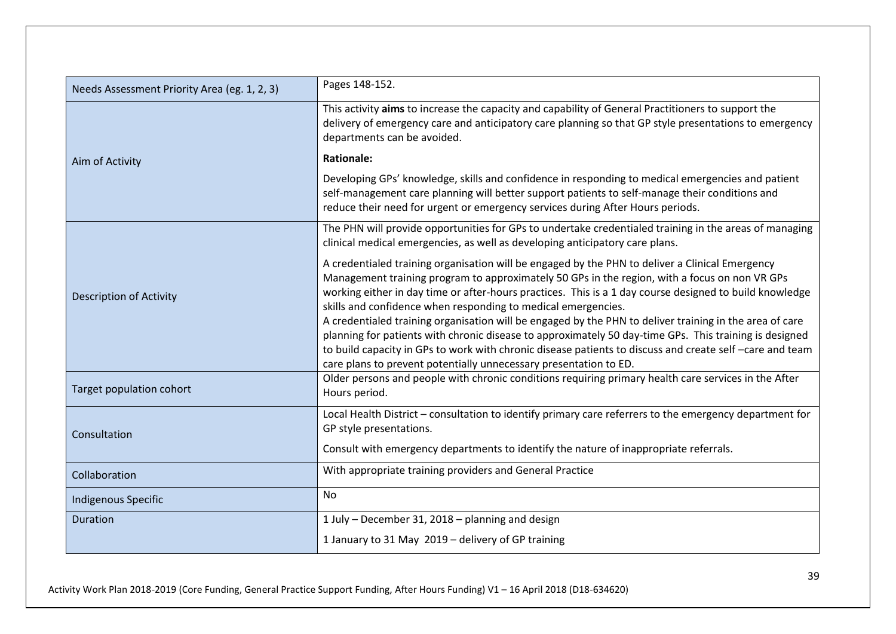| Needs Assessment Priority Area (eg. 1, 2, 3) | Pages 148-152.                                                                                                                                                                                                                                                                                                                                                                                                                                                                                                                                                                                                                                                                                                                                                                    |
|----------------------------------------------|-----------------------------------------------------------------------------------------------------------------------------------------------------------------------------------------------------------------------------------------------------------------------------------------------------------------------------------------------------------------------------------------------------------------------------------------------------------------------------------------------------------------------------------------------------------------------------------------------------------------------------------------------------------------------------------------------------------------------------------------------------------------------------------|
|                                              | This activity aims to increase the capacity and capability of General Practitioners to support the<br>delivery of emergency care and anticipatory care planning so that GP style presentations to emergency<br>departments can be avoided.                                                                                                                                                                                                                                                                                                                                                                                                                                                                                                                                        |
| Aim of Activity                              | <b>Rationale:</b>                                                                                                                                                                                                                                                                                                                                                                                                                                                                                                                                                                                                                                                                                                                                                                 |
|                                              | Developing GPs' knowledge, skills and confidence in responding to medical emergencies and patient<br>self-management care planning will better support patients to self-manage their conditions and<br>reduce their need for urgent or emergency services during After Hours periods.                                                                                                                                                                                                                                                                                                                                                                                                                                                                                             |
|                                              | The PHN will provide opportunities for GPs to undertake credentialed training in the areas of managing<br>clinical medical emergencies, as well as developing anticipatory care plans.                                                                                                                                                                                                                                                                                                                                                                                                                                                                                                                                                                                            |
| <b>Description of Activity</b>               | A credentialed training organisation will be engaged by the PHN to deliver a Clinical Emergency<br>Management training program to approximately 50 GPs in the region, with a focus on non VR GPs<br>working either in day time or after-hours practices. This is a 1 day course designed to build knowledge<br>skills and confidence when responding to medical emergencies.<br>A credentialed training organisation will be engaged by the PHN to deliver training in the area of care<br>planning for patients with chronic disease to approximately 50 day-time GPs. This training is designed<br>to build capacity in GPs to work with chronic disease patients to discuss and create self-care and team<br>care plans to prevent potentially unnecessary presentation to ED. |
| Target population cohort                     | Older persons and people with chronic conditions requiring primary health care services in the After<br>Hours period.                                                                                                                                                                                                                                                                                                                                                                                                                                                                                                                                                                                                                                                             |
| Consultation                                 | Local Health District - consultation to identify primary care referrers to the emergency department for<br>GP style presentations.<br>Consult with emergency departments to identify the nature of inappropriate referrals.                                                                                                                                                                                                                                                                                                                                                                                                                                                                                                                                                       |
| Collaboration                                | With appropriate training providers and General Practice                                                                                                                                                                                                                                                                                                                                                                                                                                                                                                                                                                                                                                                                                                                          |
| Indigenous Specific                          | No                                                                                                                                                                                                                                                                                                                                                                                                                                                                                                                                                                                                                                                                                                                                                                                |
| <b>Duration</b>                              | 1 July - December 31, 2018 - planning and design                                                                                                                                                                                                                                                                                                                                                                                                                                                                                                                                                                                                                                                                                                                                  |
|                                              | 1 January to 31 May 2019 - delivery of GP training                                                                                                                                                                                                                                                                                                                                                                                                                                                                                                                                                                                                                                                                                                                                |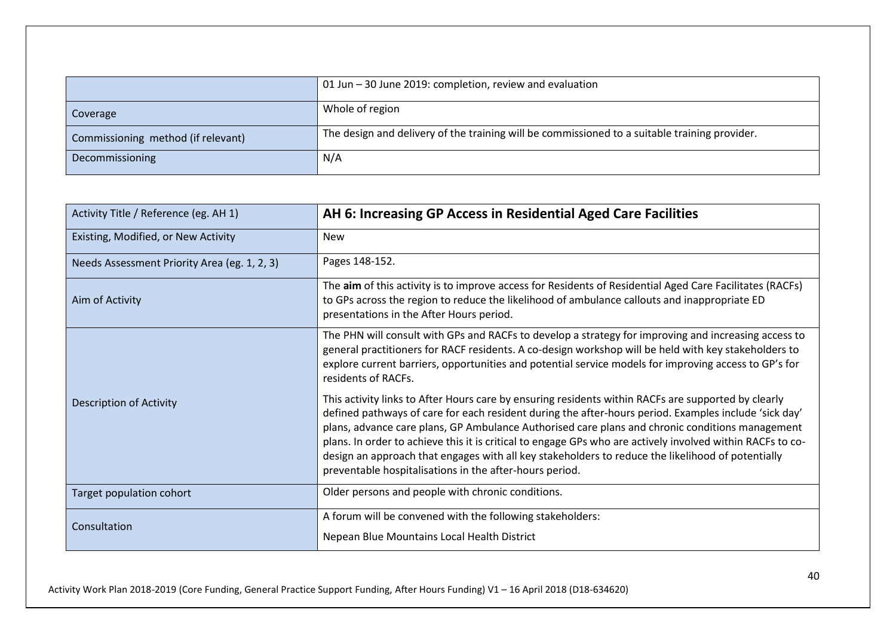|                                    | 01 Jun – 30 June 2019: completion, review and evaluation                                      |
|------------------------------------|-----------------------------------------------------------------------------------------------|
| Coverage                           | Whole of region                                                                               |
| Commissioning method (if relevant) | The design and delivery of the training will be commissioned to a suitable training provider. |
| Decommissioning                    | N/A                                                                                           |

| Activity Title / Reference (eg. AH 1)        | AH 6: Increasing GP Access in Residential Aged Care Facilities                                                                                                                                                                                                                                                                                                                                                                                                                                                                                                                                |
|----------------------------------------------|-----------------------------------------------------------------------------------------------------------------------------------------------------------------------------------------------------------------------------------------------------------------------------------------------------------------------------------------------------------------------------------------------------------------------------------------------------------------------------------------------------------------------------------------------------------------------------------------------|
| Existing, Modified, or New Activity          | <b>New</b>                                                                                                                                                                                                                                                                                                                                                                                                                                                                                                                                                                                    |
| Needs Assessment Priority Area (eg. 1, 2, 3) | Pages 148-152.                                                                                                                                                                                                                                                                                                                                                                                                                                                                                                                                                                                |
| Aim of Activity                              | The aim of this activity is to improve access for Residents of Residential Aged Care Facilitates (RACFs)<br>to GPs across the region to reduce the likelihood of ambulance callouts and inappropriate ED<br>presentations in the After Hours period.                                                                                                                                                                                                                                                                                                                                          |
|                                              | The PHN will consult with GPs and RACFs to develop a strategy for improving and increasing access to<br>general practitioners for RACF residents. A co-design workshop will be held with key stakeholders to<br>explore current barriers, opportunities and potential service models for improving access to GP's for<br>residents of RACFs.                                                                                                                                                                                                                                                  |
| <b>Description of Activity</b>               | This activity links to After Hours care by ensuring residents within RACFs are supported by clearly<br>defined pathways of care for each resident during the after-hours period. Examples include 'sick day'<br>plans, advance care plans, GP Ambulance Authorised care plans and chronic conditions management<br>plans. In order to achieve this it is critical to engage GPs who are actively involved within RACFs to co-<br>design an approach that engages with all key stakeholders to reduce the likelihood of potentially<br>preventable hospitalisations in the after-hours period. |
| Target population cohort                     | Older persons and people with chronic conditions.                                                                                                                                                                                                                                                                                                                                                                                                                                                                                                                                             |
| Consultation                                 | A forum will be convened with the following stakeholders:<br>Nepean Blue Mountains Local Health District                                                                                                                                                                                                                                                                                                                                                                                                                                                                                      |